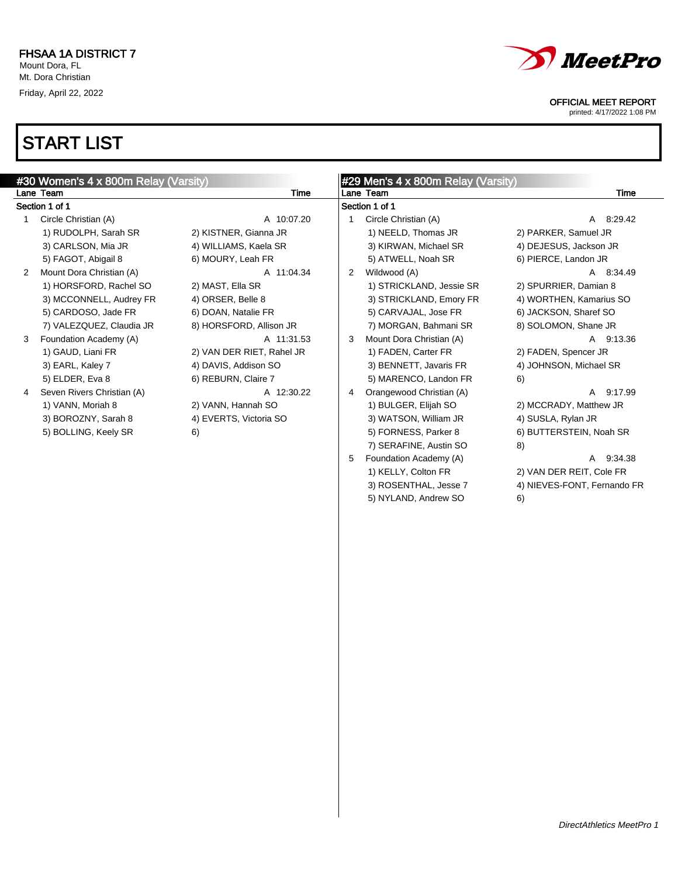

3) ROSENTHAL, Jesse 7 4) NIEVES-FONT, Fernando FR

5) NYLAND, Andrew SO 6)

### OFFICIAL MEET REPORT

printed: 4/17/2022 1:08 PM

|   | #30 Women's 4 x 800m Relay (Varsity) |                           |   | #29 Men's 4 x 800m Relay (Varsity) |                          |
|---|--------------------------------------|---------------------------|---|------------------------------------|--------------------------|
|   | Lane Team                            | Time                      |   | Lane Team                          | Time                     |
|   | Section 1 of 1                       |                           |   | Section 1 of 1                     |                          |
|   | Circle Christian (A)                 | A 10:07.20                |   | Circle Christian (A)               | A 8:29.42                |
|   | 1) RUDOLPH, Sarah SR                 | 2) KISTNER, Gianna JR     |   | 1) NEELD, Thomas JR                | 2) PARKER, Samuel JR     |
|   | 3) CARLSON, Mia JR                   | 4) WILLIAMS, Kaela SR     |   | 3) KIRWAN, Michael SR              | 4) DEJESUS, Jackson JR   |
|   | 5) FAGOT, Abigail 8                  | 6) MOURY, Leah FR         |   | 5) ATWELL, Noah SR                 | 6) PIERCE, Landon JR     |
| 2 | Mount Dora Christian (A)             | A 11:04.34                | 2 | Wildwood (A)                       | A 8:34.49                |
|   | 1) HORSFORD, Rachel SO               | 2) MAST, Ella SR          |   | 1) STRICKLAND, Jessie SR           | 2) SPURRIER, Damian 8    |
|   | 3) MCCONNELL, Audrey FR              | 4) ORSER, Belle 8         |   | 3) STRICKLAND, Emory FR            | 4) WORTHEN, Kamarius SO  |
|   | 5) CARDOSO, Jade FR                  | 6) DOAN, Natalie FR       |   | 5) CARVAJAL, Jose FR               | 6) JACKSON, Sharef SO    |
|   | 7) VALEZQUEZ, Claudia JR             | 8) HORSFORD, Allison JR   |   | 7) MORGAN, Bahmani SR              | 8) SOLOMON, Shane JR     |
| 3 | Foundation Academy (A)               | A 11:31.53                | 3 | Mount Dora Christian (A)           | A 9:13.36                |
|   | 1) GAUD, Liani FR                    | 2) VAN DER RIET, Rahel JR |   | 1) FADEN, Carter FR                | 2) FADEN, Spencer JR     |
|   | 3) EARL, Kaley 7                     | 4) DAVIS, Addison SO      |   | 3) BENNETT, Javaris FR             | 4) JOHNSON, Michael SR   |
|   | 5) ELDER, Eva 8                      | 6) REBURN, Claire 7       |   | 5) MARENCO, Landon FR              | 6)                       |
|   | Seven Rivers Christian (A)           | A 12:30.22                | 4 | Orangewood Christian (A)           | 9:17.99<br>A             |
|   | 1) VANN, Moriah 8                    | 2) VANN, Hannah SO        |   | 1) BULGER, Elijah SO               | 2) MCCRADY, Matthew JR   |
|   | 3) BOROZNY, Sarah 8                  | 4) EVERTS, Victoria SO    |   | 3) WATSON, William JR              | 4) SUSLA, Rylan JR       |
|   | 5) BOLLING, Keely SR                 | 6)                        |   | 5) FORNESS, Parker 8               | 6) BUTTERSTEIN, Noah SR  |
|   |                                      |                           |   | 7) SERAFINE, Austin SO             | 8)                       |
|   |                                      |                           | 5 | Foundation Academy (A)             | 9:34.38<br>A             |
|   |                                      |                           |   | 1) KELLY, Colton FR                | 2) VAN DER REIT, Cole FR |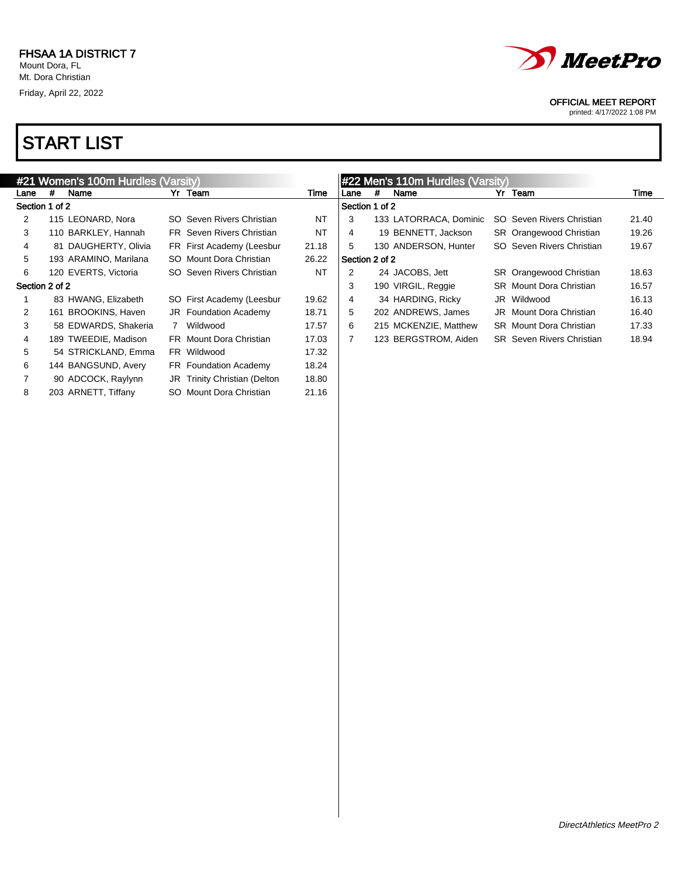

printed: 4/17/2022 1:08 PM

|      | #21 Women's 100m Hurdles (Varsity) |                                  |       |                |   | #22 Men's 110m Hurdles (Varsity) |                                  |       |
|------|------------------------------------|----------------------------------|-------|----------------|---|----------------------------------|----------------------------------|-------|
| Lane | Name<br>#                          | Yr Team                          | Time  | Lane           | # | Name                             | Yr Team                          | Time  |
|      | Section 1 of 2                     |                                  |       | Section 1 of 2 |   |                                  |                                  |       |
| 2    | 115 LEONARD, Nora                  | SO Seven Rivers Christian        | NT    | 3              |   | 133 LATORRACA, Dominic           | SO Seven Rivers Christian        | 21.40 |
| 3    | 110 BARKLEY, Hannah                | <b>FR</b> Seven Rivers Christian | NT    | 4              |   | 19 BENNETT, Jackson              | <b>SR</b> Orangewood Christian   | 19.26 |
| 4    | 81 DAUGHERTY, Olivia               | FR First Academy (Leesbur        | 21.18 | 5              |   | 130 ANDERSON, Hunter             | SO Seven Rivers Christian        | 19.67 |
| 5    | 193 ARAMINO, Marilana              | SO Mount Dora Christian          | 26.22 | Section 2 of 2 |   |                                  |                                  |       |
| 6    | 120 EVERTS, Victoria               | SO Seven Rivers Christian        | NT    | 2              |   | 24 JACOBS, Jett                  | SR Orangewood Christian          | 18.63 |
|      | Section 2 of 2                     |                                  |       | 3              |   | 190 VIRGIL, Reggie               | <b>SR</b> Mount Dora Christian   | 16.57 |
|      | 83 HWANG, Elizabeth                | SO First Academy (Leesbur        | 19.62 | 4              |   | 34 HARDING, Ricky                | JR Wildwood                      | 16.13 |
| 2    | 161 BROOKINS, Haven                | JR Foundation Academy            | 18.71 | 5              |   | 202 ANDREWS, James               | <b>JR</b> Mount Dora Christian   | 16.40 |
| 3    | 58 EDWARDS, Shakeria               | Wildwood<br>$\mathbf{7}$         | 17.57 | 6              |   | 215 MCKENZIE, Matthew            | <b>SR</b> Mount Dora Christian   | 17.33 |
| 4    | 189 TWEEDIE, Madison               | FR Mount Dora Christian          | 17.03 | 7              |   | 123 BERGSTROM, Aiden             | <b>SR</b> Seven Rivers Christian | 18.94 |
| 5    | 54 STRICKLAND, Emma                | FR Wildwood                      | 17.32 |                |   |                                  |                                  |       |
| 6    | 144 BANGSUND, Avery                | FR Foundation Academy            | 18.24 |                |   |                                  |                                  |       |
|      | 90 ADCOCK, Raylynn                 | JR Trinity Christian (Delton     | 18.80 |                |   |                                  |                                  |       |
| 8    | 203 ARNETT, Tiffany                | SO Mount Dora Christian          | 21.16 |                |   |                                  |                                  |       |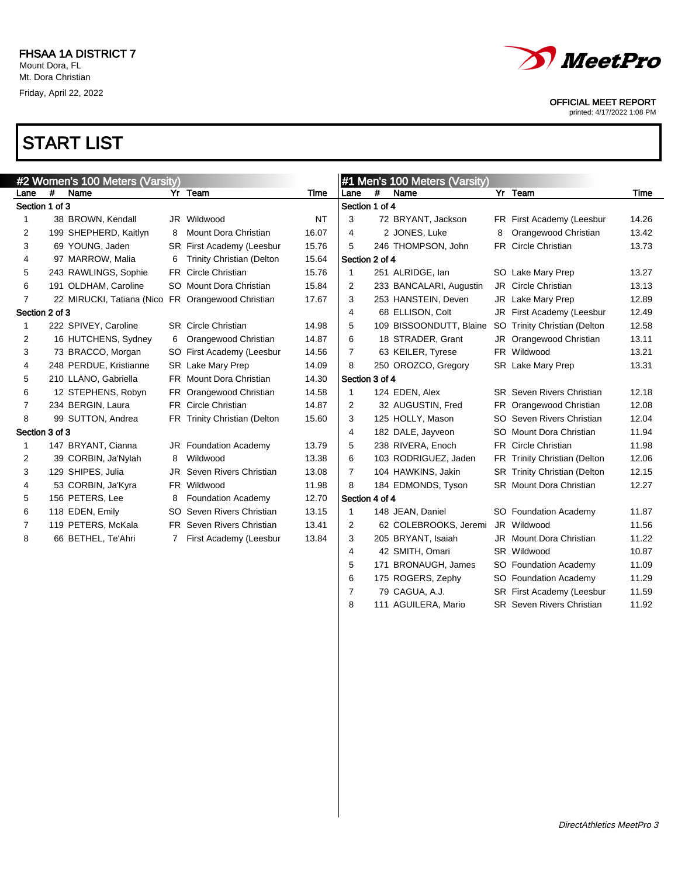

printed: 4/17/2022 1:08 PM

# START LIST

|                |   | #2 Women's 100 Meters (Varsity) |              |                                  |       |                |     | #1 Men's 100 Meters (Varsity) |   |                                  |       |
|----------------|---|---------------------------------|--------------|----------------------------------|-------|----------------|-----|-------------------------------|---|----------------------------------|-------|
| Lane           | # | Name                            |              | Yr Team                          | Time  | Lane           | #   | Name                          |   | Yr Team                          | Time  |
| Section 1 of 3 |   |                                 |              |                                  |       | Section 1 of 4 |     |                               |   |                                  |       |
| 1              |   | 38 BROWN, Kendall               |              | JR Wildwood                      | NT    | 3              |     | 72 BRYANT, Jackson            |   | FR First Academy (Leesbur        | 14.26 |
| 2              |   | 199 SHEPHERD, Kaitlyn           | 8            | Mount Dora Christian             | 16.07 | 4              |     | 2 JONES, Luke                 | 8 | Orangewood Christian             | 13.42 |
| 3              |   | 69 YOUNG, Jaden                 | SR.          | First Academy (Leesbur           | 15.76 | 5              |     | 246 THOMPSON, John            |   | FR Circle Christian              | 13.73 |
| 4              |   | 97 MARROW, Malia                | 6            | <b>Trinity Christian (Delton</b> | 15.64 | Section 2 of 4 |     |                               |   |                                  |       |
| 5              |   | 243 RAWLINGS, Sophie            |              | FR Circle Christian              | 15.76 | 1              |     | 251 ALRIDGE, Ian              |   | SO Lake Mary Prep                | 13.27 |
| 6              |   | 191 OLDHAM, Caroline            |              | SO Mount Dora Christian          | 15.84 | 2              |     | 233 BANCALARI, Augustin       |   | JR Circle Christian              | 13.13 |
| 7              |   | 22 MIRUCKI, Tatiana (Nico       |              | FR Orangewood Christian          | 17.67 | 3              |     | 253 HANSTEIN, Deven           |   | JR Lake Mary Prep                | 12.89 |
| Section 2 of 3 |   |                                 |              |                                  |       | 4              |     | 68 ELLISON, Colt              |   | JR First Academy (Leesbur        | 12.49 |
| 1              |   | 222 SPIVEY, Caroline            |              | <b>SR</b> Circle Christian       | 14.98 | 5              |     | 109 BISSOONDUTT, Blaine       |   | SO Trinity Christian (Delton     | 12.58 |
| 2              |   | 16 HUTCHENS, Sydney             | 6            | Orangewood Christian             | 14.87 | 6              |     | 18 STRADER, Grant             |   | JR Orangewood Christian          | 13.11 |
| 3              |   | 73 BRACCO, Morgan               |              | SO First Academy (Leesbur        | 14.56 | 7              |     | 63 KEILER, Tyrese             |   | FR Wildwood                      | 13.21 |
| 4              |   | 248 PERDUE, Kristianne          |              | SR Lake Mary Prep                | 14.09 | 8              |     | 250 OROZCO, Gregory           |   | SR Lake Mary Prep                | 13.31 |
| 5              |   | 210 LLANO, Gabriella            |              | FR Mount Dora Christian          | 14.30 | Section 3 of 4 |     |                               |   |                                  |       |
| 6              |   | 12 STEPHENS, Robyn              |              | FR Orangewood Christian          | 14.58 | 1              |     | 124 EDEN, Alex                |   | <b>SR</b> Seven Rivers Christian | 12.18 |
| 7              |   | 234 BERGIN, Laura               |              | FR Circle Christian              | 14.87 | 2              |     | 32 AUGUSTIN, Fred             |   | FR Orangewood Christian          | 12.08 |
| 8              |   | 99 SUTTON, Andrea               |              | FR Trinity Christian (Delton     | 15.60 | 3              |     | 125 HOLLY, Mason              |   | SO Seven Rivers Christian        | 12.04 |
| Section 3 of 3 |   |                                 |              |                                  |       | 4              |     | 182 DALE, Jayveon             |   | SO Mount Dora Christian          | 11.94 |
| 1              |   | 147 BRYANT, Cianna              |              | JR Foundation Academy            | 13.79 | 5              |     | 238 RIVERA, Enoch             |   | FR Circle Christian              | 11.98 |
| 2              |   | 39 CORBIN, Ja'Nylah             | 8            | Wildwood                         | 13.38 | 6              |     | 103 RODRIGUEZ, Jaden          |   | FR Trinity Christian (Delton     | 12.06 |
| 3              |   | 129 SHIPES, Julia               |              | <b>JR</b> Seven Rivers Christian | 13.08 | $\overline{7}$ |     | 104 HAWKINS, Jakin            |   | SR Trinity Christian (Delton     | 12.15 |
| 4              |   | 53 CORBIN, Ja'Kyra              |              | FR Wildwood                      | 11.98 | 8              |     | 184 EDMONDS, Tyson            |   | SR Mount Dora Christian          | 12.27 |
| 5              |   | 156 PETERS, Lee                 | 8            | <b>Foundation Academy</b>        | 12.70 | Section 4 of 4 |     |                               |   |                                  |       |
| 6              |   | 118 EDEN, Emily                 | SO.          | Seven Rivers Christian           | 13.15 | 1              |     | 148 JEAN, Daniel              |   | SO Foundation Academy            | 11.87 |
| 7              |   | 119 PETERS, McKala              |              | FR Seven Rivers Christian        | 13.41 | 2              |     | 62 COLEBROOKS, Jeremi         |   | JR Wildwood                      | 11.56 |
| 8              |   | 66 BETHEL, Te'Ahri              | $\mathbf{7}$ | First Academy (Leesbur           | 13.84 | 3              |     | 205 BRYANT, Isaiah            |   | JR Mount Dora Christian          | 11.22 |
|                |   |                                 |              |                                  |       | 4              |     | 42 SMITH, Omari               |   | SR Wildwood                      | 10.87 |
|                |   |                                 |              |                                  |       | 5              | 171 | BRONAUGH, James               |   | SO Foundation Academy            | 11.09 |

 175 ROGERS, Zephy SO Foundation Academy 11.29 7 79 CAGUA, A.J. SR First Academy (Leesbur 11.59 8 111 AGUILERA, Mario SR Seven Rivers Christian 11.92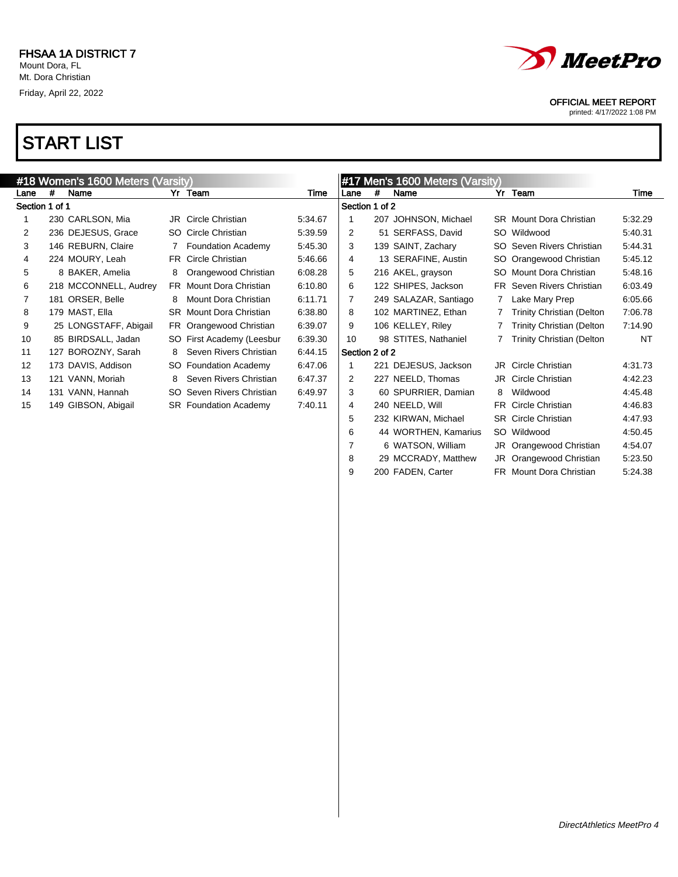

 29 MCCRADY, Matthew JR Orangewood Christian 5:23.50 9 200 FADEN, Carter FR Mount Dora Christian 5:24.38

### OFFICIAL MEET REPORT

printed: 4/17/2022 1:08 PM

|                | #18 Women's 1600 Meters (Varsity) |                       |     |                                |         |                |   |                                         |   |                                  |         |
|----------------|-----------------------------------|-----------------------|-----|--------------------------------|---------|----------------|---|-----------------------------------------|---|----------------------------------|---------|
| Lane           | #                                 | Name                  |     | Yr Team                        | Time    | Lane           | # | #17 Men's 1600 Meters (Varsity)<br>Name |   | Yr Team                          | Time    |
| Section 1 of 1 |                                   |                       |     |                                |         | Section 1 of 2 |   |                                         |   |                                  |         |
|                |                                   | 230 CARLSON, Mia      |     | <b>JR</b> Circle Christian     | 5:34.67 |                |   | 207 JOHNSON, Michael                    |   | <b>SR</b> Mount Dora Christian   | 5:32.29 |
| $\overline{2}$ |                                   | 236 DEJESUS, Grace    | SO. | Circle Christian               | 5:39.59 | 2              |   | 51 SERFASS, David                       |   | SO Wildwood                      | 5:40.31 |
| 3              |                                   | 146 REBURN, Claire    |     | <b>Foundation Academy</b>      | 5:45.30 | 3              |   | 139 SAINT, Zachary                      |   | SO Seven Rivers Christian        | 5:44.31 |
| 4              |                                   | 224 MOURY, Leah       | FR  | Circle Christian               | 5:46.66 | 4              |   | 13 SERAFINE, Austin                     |   | SO Orangewood Christian          | 5:45.12 |
| 5              |                                   | 8 BAKER, Amelia       | 8   | Orangewood Christian           | 6:08.28 | 5              |   | 216 AKEL, grayson                       |   | SO Mount Dora Christian          | 5:48.16 |
| 6              |                                   | 218 MCCONNELL, Audrey |     | FR Mount Dora Christian        | 6:10.80 | 6              |   | 122 SHIPES, Jackson                     |   | FR Seven Rivers Christian        | 6:03.49 |
|                |                                   | 181 ORSER, Belle      | 8   | Mount Dora Christian           | 6:11.71 | 7              |   | 249 SALAZAR, Santiago                   |   | Lake Mary Prep                   | 6:05.66 |
| 8              |                                   | 179 MAST, Ella        |     | <b>SR</b> Mount Dora Christian | 6:38.80 | 8              |   | 102 MARTINEZ, Ethan                     |   | <b>Trinity Christian (Delton</b> | 7:06.78 |
| 9              |                                   | 25 LONGSTAFF, Abigail |     | FR Orangewood Christian        | 6:39.07 | 9              |   | 106 KELLEY, Riley                       |   | <b>Trinity Christian (Delton</b> | 7:14.90 |
| 10             |                                   | 85 BIRDSALL, Jadan    |     | SO First Academy (Leesbur      | 6:39.30 | 10             |   | 98 STITES, Nathaniel                    |   | <b>Trinity Christian (Delton</b> | NT      |
| 11             |                                   | 127 BOROZNY, Sarah    | 8   | Seven Rivers Christian         | 6:44.15 | Section 2 of 2 |   |                                         |   |                                  |         |
| 12             |                                   | 173 DAVIS, Addison    |     | SO Foundation Academy          | 6:47.06 |                |   | 221 DEJESUS, Jackson                    |   | <b>JR</b> Circle Christian       | 4:31.73 |
| 13             |                                   | 121 VANN, Moriah      | 8   | Seven Rivers Christian         | 6:47.37 | $\overline{2}$ |   | 227 NEELD, Thomas                       |   | JR Circle Christian              | 4:42.23 |
| 14             |                                   | 131 VANN, Hannah      |     | SO Seven Rivers Christian      | 6:49.97 | 3              |   | 60 SPURRIER, Damian                     | 8 | Wildwood                         | 4:45.48 |
| 15             |                                   | 149 GIBSON, Abigail   |     | <b>SR</b> Foundation Academy   | 7:40.11 | 4              |   | 240 NEELD, Will                         |   | FR Circle Christian              | 4:46.83 |
|                |                                   |                       |     |                                |         | 5              |   | 232 KIRWAN, Michael                     |   | <b>SR</b> Circle Christian       | 4:47.93 |
|                |                                   |                       |     |                                |         | 6              |   | 44 WORTHEN, Kamarius                    |   | SO Wildwood                      | 4:50.45 |
|                |                                   |                       |     |                                |         |                |   | 6 WATSON, William                       |   | JR Orangewood Christian          | 4:54.07 |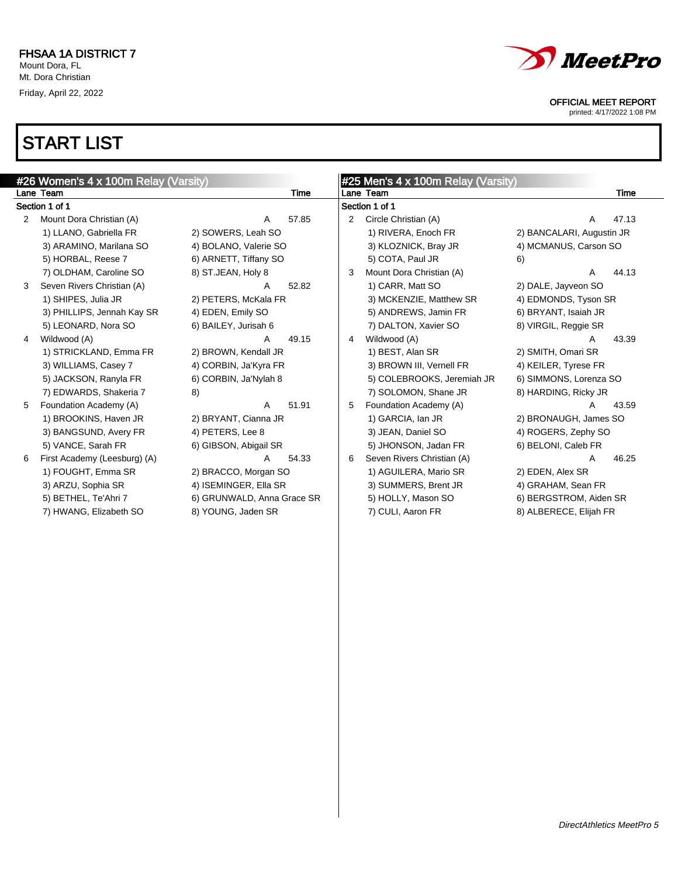

printed: 4/17/2022 1:08 PM

|                      | #26 Women's 4 x 100m Relay (Varsity) |                            |       |   | #25 Men's 4 x 100m Relay (Varsity) |                           |       |
|----------------------|--------------------------------------|----------------------------|-------|---|------------------------------------|---------------------------|-------|
|                      | Lane Team                            |                            | Time  |   | Lane Team                          |                           | Time  |
|                      | Section 1 of 1                       |                            |       |   | Section 1 of 1                     |                           |       |
| $\mathbf{2}^{\circ}$ | Mount Dora Christian (A)             | Α                          | 57.85 | 2 | Circle Christian (A)               | A                         | 47.13 |
|                      | 1) LLANO, Gabriella FR               | 2) SOWERS, Leah SO         |       |   | 1) RIVERA, Enoch FR                | 2) BANCALARI, Augustin JR |       |
|                      | 3) ARAMINO, Marilana SO              | 4) BOLANO, Valerie SO      |       |   | 3) KLOZNICK, Bray JR               | 4) MCMANUS, Carson SO     |       |
|                      | 5) HORBAL, Reese 7                   | 6) ARNETT, Tiffany SO      |       |   | 5) COTA, Paul JR                   | 6)                        |       |
|                      | 7) OLDHAM, Caroline SO               | 8) ST.JEAN, Holy 8         |       | 3 | Mount Dora Christian (A)           | A                         | 44.13 |
| 3                    | Seven Rivers Christian (A)           | A                          | 52.82 |   | 1) CARR, Matt SO                   | 2) DALE, Jayveon SO       |       |
|                      | 1) SHIPES, Julia JR                  | 2) PETERS, McKala FR       |       |   | 3) MCKENZIE, Matthew SR            | 4) EDMONDS, Tyson SR      |       |
|                      | 3) PHILLIPS, Jennah Kay SR           | 4) EDEN, Emily SO          |       |   | 5) ANDREWS, Jamin FR               | 6) BRYANT, Isaiah JR      |       |
|                      | 5) LEONARD, Nora SO                  | 6) BAILEY, Jurisah 6       |       |   | 7) DALTON, Xavier SO               | 8) VIRGIL, Reggie SR      |       |
| 4                    | Wildwood (A)                         | A                          | 49.15 | 4 | Wildwood (A)                       | A                         | 43.39 |
|                      | 1) STRICKLAND, Emma FR               | 2) BROWN, Kendall JR       |       |   | 1) BEST, Alan SR                   | 2) SMITH, Omari SR        |       |
|                      | 3) WILLIAMS, Casey 7                 | 4) CORBIN, Ja'Kyra FR      |       |   | 3) BROWN III, Vernell FR           | 4) KEILER, Tyrese FR      |       |
|                      | 5) JACKSON, Ranyla FR                | 6) CORBIN, Ja'Nylah 8      |       |   | 5) COLEBROOKS, Jeremiah JR         | 6) SIMMONS, Lorenza SO    |       |
|                      | 7) EDWARDS, Shakeria 7               | 8)                         |       |   | 7) SOLOMON, Shane JR               | 8) HARDING, Ricky JR      |       |
| 5                    | Foundation Academy (A)               | A                          | 51.91 | 5 | Foundation Academy (A)             | A                         | 43.59 |
|                      | 1) BROOKINS, Haven JR                | 2) BRYANT, Cianna JR       |       |   | 1) GARCIA, Ian JR                  | 2) BRONAUGH, James SO     |       |
|                      | 3) BANGSUND, Avery FR                | 4) PETERS, Lee 8           |       |   | 3) JEAN, Daniel SO                 | 4) ROGERS, Zephy SO       |       |
|                      | 5) VANCE, Sarah FR                   | 6) GIBSON, Abigail SR      |       |   | 5) JHONSON, Jadan FR               | 6) BELONI, Caleb FR       |       |
| 6                    | First Academy (Leesburg) (A)         | A                          | 54.33 | 6 | Seven Rivers Christian (A)         | A                         | 46.25 |
|                      | 1) FOUGHT, Emma SR                   | 2) BRACCO, Morgan SO       |       |   | 1) AGUILERA, Mario SR              | 2) EDEN, Alex SR          |       |
|                      | 3) ARZU, Sophia SR                   | 4) ISEMINGER, Ella SR      |       |   | 3) SUMMERS, Brent JR               | 4) GRAHAM, Sean FR        |       |
|                      | 5) BETHEL, Te'Ahri 7                 | 6) GRUNWALD, Anna Grace SR |       |   | 5) HOLLY, Mason SO                 | 6) BERGSTROM, Aiden SR    |       |
|                      | 7) HWANG, Elizabeth SO               | 8) YOUNG, Jaden SR         |       |   | 7) CULI, Aaron FR                  | 8) ALBERECE, Elijah FR    |       |
|                      |                                      |                            |       |   |                                    |                           |       |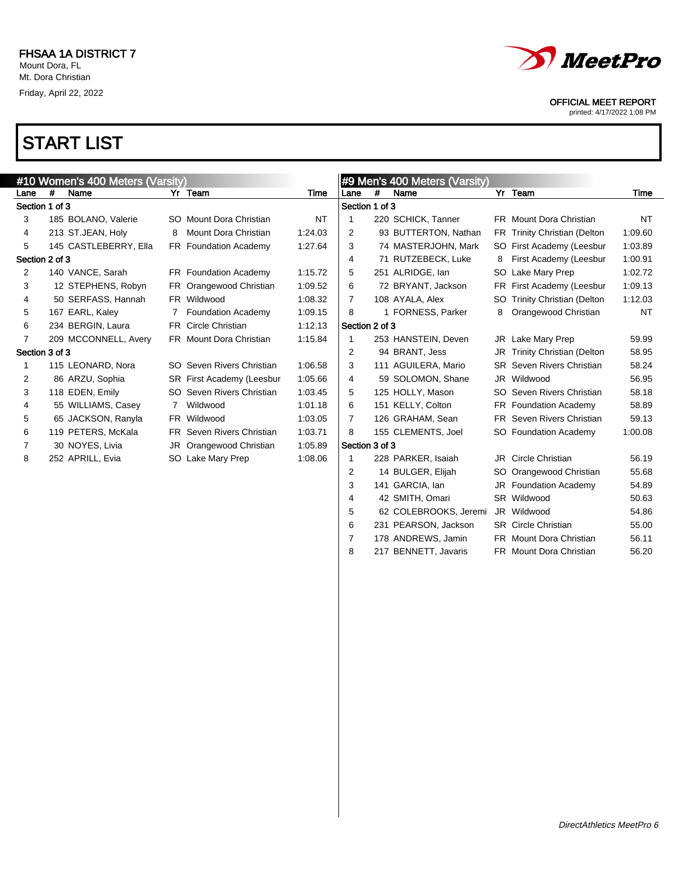

 62 COLEBROOKS, Jeremi JR Wildwood 54.86 231 PEARSON, Jackson SR Circle Christian 55.00 7 178 ANDREWS, Jamin FR Mount Dora Christian 56.11 8 217 BENNETT, Javaris FR Mount Dora Christian 56.20

### OFFICIAL MEET REPORT

printed: 4/17/2022 1:08 PM

|                |   | #10 Women's 400 Meters (Varsity) |     |                           |           |                |   | #9 Men's 400 Meters (Varsity) |    |                                  |         |
|----------------|---|----------------------------------|-----|---------------------------|-----------|----------------|---|-------------------------------|----|----------------------------------|---------|
| Lane           | # | Name                             |     | Yr Team                   | Time      | Lane           | # | Name                          |    | Yr Team                          | Time    |
| Section 1 of 3 |   |                                  |     |                           |           | Section 1 of 3 |   |                               |    |                                  |         |
| 3              |   | 185 BOLANO, Valerie              |     | SO Mount Dora Christian   | <b>NT</b> |                |   | 220 SCHICK, Tanner            |    | FR Mount Dora Christian          | NT      |
| 4              |   | 213 ST.JEAN, Holy                | 8   | Mount Dora Christian      | 1:24.03   | 2              |   | 93 BUTTERTON, Nathan          |    | FR Trinity Christian (Delton     | 1:09.60 |
| 5              |   | 145 CASTLEBERRY, Ella            |     | FR Foundation Academy     | 1:27.64   | 3              |   | 74 MASTERJOHN, Mark           |    | SO First Academy (Leesbur        | 1:03.89 |
| Section 2 of 3 |   |                                  |     |                           |           | 4              |   | 71 RUTZEBECK, Luke            | 8  | First Academy (Leesbur           | 1:00.91 |
| 2              |   | 140 VANCE, Sarah                 |     | FR Foundation Academy     | 1:15.72   | 5              |   | 251 ALRIDGE, Ian              |    | SO Lake Mary Prep                | 1:02.72 |
| 3              |   | 12 STEPHENS, Robyn               |     | FR Orangewood Christian   | 1:09.52   | 6              |   | 72 BRYANT, Jackson            |    | FR First Academy (Leesbur        | 1:09.13 |
| 4              |   | 50 SERFASS, Hannah               |     | FR Wildwood               | 1:08.32   | 7              |   | 108 AYALA, Alex               |    | SO Trinity Christian (Delton     | 1:12.03 |
| 5              |   | 167 EARL, Kaley                  |     | <b>Foundation Academy</b> | 1:09.15   | 8              |   | FORNESS, Parker               | 8  | Orangewood Christian             | NT      |
| 6              |   | 234 BERGIN, Laura                |     | FR Circle Christian       | 1:12.13   | Section 2 of 3 |   |                               |    |                                  |         |
| 7              |   | 209 MCCONNELL, Avery             |     | FR Mount Dora Christian   | 1:15.84   |                |   | 253 HANSTEIN, Deven           |    | JR Lake Mary Prep                | 59.99   |
| Section 3 of 3 |   |                                  |     |                           |           | 2              |   | 94 BRANT, Jess                | JR | <b>Trinity Christian (Delton</b> | 58.95   |
|                |   | 115 LEONARD, Nora                |     | SO Seven Rivers Christian | 1:06.58   | 3              |   | 111 AGUILERA, Mario           |    | <b>SR</b> Seven Rivers Christian | 58.24   |
| 2              |   | 86 ARZU, Sophia                  |     | SR First Academy (Leesbur | 1:05.66   | 4              |   | 59 SOLOMON, Shane             |    | JR Wildwood                      | 56.95   |
| 3              |   | 118 EDEN, Emily                  |     | SO Seven Rivers Christian | 1:03.45   | 5              |   | 125 HOLLY, Mason              |    | SO Seven Rivers Christian        | 58.18   |
| 4              |   | 55 WILLIAMS, Casey               |     | Wildwood                  | 1:01.18   | 6              |   | 151 KELLY, Colton             |    | FR Foundation Academy            | 58.89   |
| 5              |   | 65 JACKSON, Ranyla               |     | FR Wildwood               | 1:03.05   | 7              |   | 126 GRAHAM, Sean              |    | <b>FR</b> Seven Rivers Christian | 59.13   |
| 6              |   | 119 PETERS, McKala               | FR. | Seven Rivers Christian    | 1:03.71   | 8              |   | 155 CLEMENTS, Joel            |    | SO Foundation Academy            | 1:00.08 |
| 7              |   | 30 NOYES, Livia                  | JR  | Orangewood Christian      | 1:05.89   | Section 3 of 3 |   |                               |    |                                  |         |
| 8              |   | 252 APRILL, Evia                 |     | SO Lake Mary Prep         | 1:08.06   |                |   | 228 PARKER, Isaiah            |    | JR Circle Christian              | 56.19   |
|                |   |                                  |     |                           |           | 2              |   | 14 BULGER, Elijah             |    | SO Orangewood Christian          | 55.68   |
|                |   |                                  |     |                           |           | 3              |   | 141 GARCIA, Ian               |    | JR Foundation Academy            | 54.89   |
|                |   |                                  |     |                           |           | 4              |   | 42 SMITH, Omari               |    | SR Wildwood                      | 50.63   |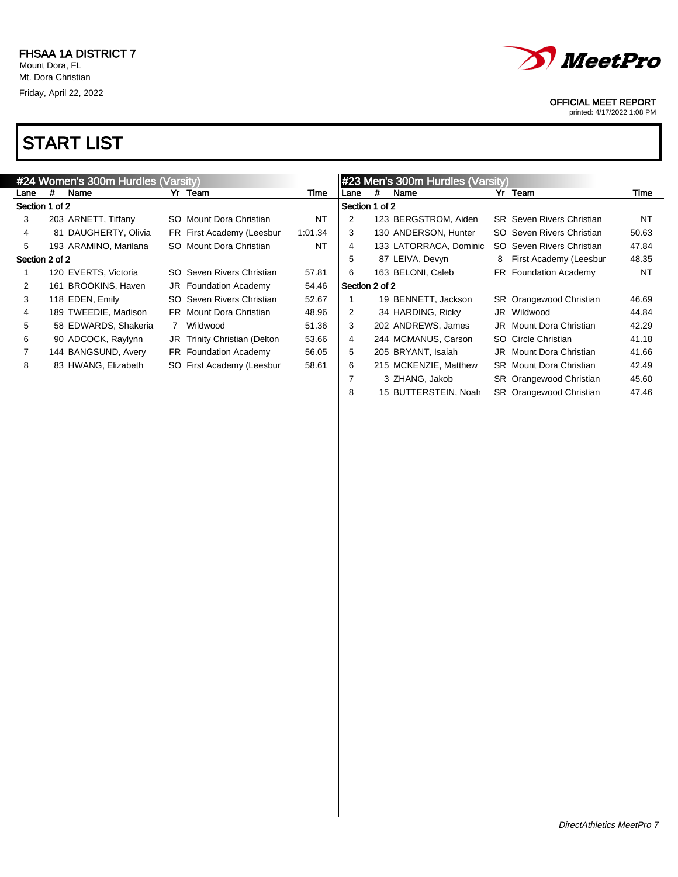

printed: 4/17/2022 1:08 PM

|                |   | #24 Women's 300m Hurdles (Varsity) |                              |           |                |   | #23 Men's 300m Hurdles (Varsity) |   |                                  |       |
|----------------|---|------------------------------------|------------------------------|-----------|----------------|---|----------------------------------|---|----------------------------------|-------|
| Lane           | # | Name                               | Yr Team                      | Time      | Lane           | # | Name                             |   | Yr Team                          | Time  |
| Section 1 of 2 |   |                                    |                              |           | Section 1 of 2 |   |                                  |   |                                  |       |
| 3              |   | 203 ARNETT, Tiffany                | SO Mount Dora Christian      | <b>NT</b> | 2              |   | 123 BERGSTROM, Aiden             |   | <b>SR</b> Seven Rivers Christian | NT    |
| 4              |   | 81 DAUGHERTY, Olivia               | FR First Academy (Leesbur    | 1:01.34   | 3              |   | 130 ANDERSON, Hunter             |   | SO Seven Rivers Christian        | 50.63 |
| 5              |   | 193 ARAMINO, Marilana              | SO Mount Dora Christian      | <b>NT</b> | 4              |   | 133 LATORRACA, Dominic           |   | SO Seven Rivers Christian        | 47.84 |
| Section 2 of 2 |   |                                    |                              |           | 5              |   | 87 LEIVA, Devyn                  | 8 | First Academy (Leesbur           | 48.35 |
|                |   | 120 EVERTS, Victoria               | SO Seven Rivers Christian    | 57.81     | 6              |   | 163 BELONI, Caleb                |   | FR Foundation Academy            | NT    |
| 2              |   | 161 BROOKINS, Haven                | <b>JR</b> Foundation Academy | 54.46     | Section 2 of 2 |   |                                  |   |                                  |       |
| 3              |   | 118 EDEN, Emily                    | SO Seven Rivers Christian    | 52.67     |                |   | 19 BENNETT, Jackson              |   | SR Orangewood Christian          | 46.69 |
| 4              |   | 189 TWEEDIE, Madison               | FR Mount Dora Christian      | 48.96     | 2              |   | 34 HARDING, Ricky                |   | JR Wildwood                      | 44.84 |
| 5              |   | 58 EDWARDS, Shakeria               | Wildwood                     | 51.36     | 3              |   | 202 ANDREWS, James               |   | <b>JR</b> Mount Dora Christian   | 42.29 |
| 6              |   | 90 ADCOCK, Raylynn                 | JR Trinity Christian (Delton | 53.66     | 4              |   | 244 MCMANUS, Carson              |   | SO Circle Christian              | 41.18 |
| $\overline{7}$ |   | 144 BANGSUND, Avery                | FR Foundation Academy        | 56.05     | 5              |   | 205 BRYANT, Isaiah               |   | JR Mount Dora Christian          | 41.66 |
| 8              |   | 83 HWANG, Elizabeth                | SO First Academy (Leesbur    | 58.61     | 6              |   | 215 MCKENZIE, Matthew            |   | <b>SR</b> Mount Dora Christian   | 42.49 |
|                |   |                                    |                              |           |                |   | 3 ZHANG, Jakob                   |   | SR Orangewood Christian          | 45.60 |
|                |   |                                    |                              |           | 8              |   | 15 BUTTERSTEIN, Noah             |   | SR Orangewood Christian          | 47.46 |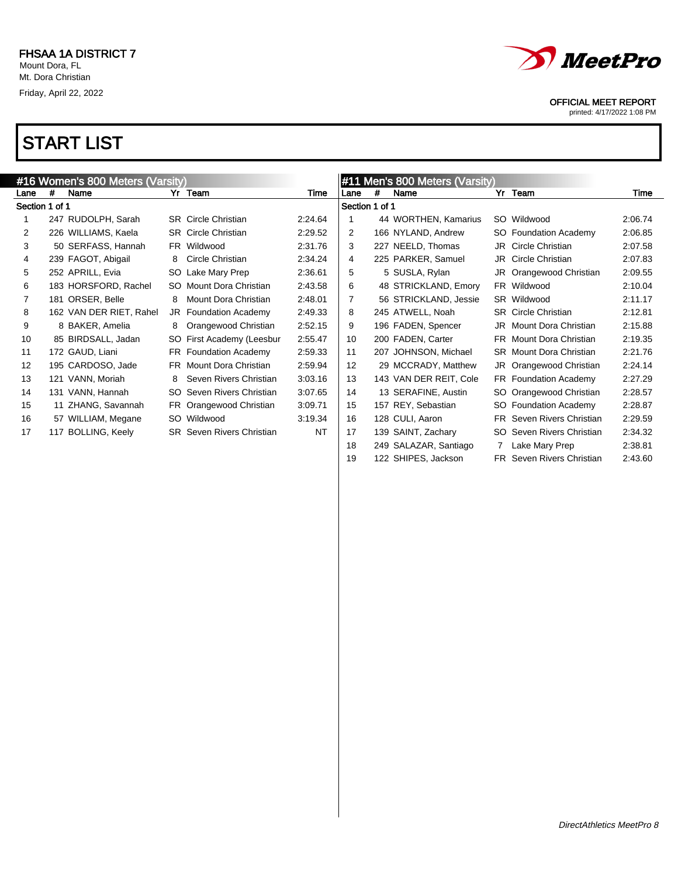

printed: 4/17/2022 1:08 PM

| #16 Women's 800 Meters (Varsity) |   |                         |     |                                  | #11 Men's 800 Meters (Varsity) |                |   |                        |    |                                  |         |
|----------------------------------|---|-------------------------|-----|----------------------------------|--------------------------------|----------------|---|------------------------|----|----------------------------------|---------|
| Lane                             | # | Name                    |     | Yr Team                          | Time                           | Lane           | # | Name                   |    | Yr Team                          | Time    |
| Section 1 of 1                   |   |                         |     |                                  |                                | Section 1 of 1 |   |                        |    |                                  |         |
|                                  |   | 247 RUDOLPH, Sarah      |     | <b>SR</b> Circle Christian       | 2:24.64                        |                |   | 44 WORTHEN, Kamarius   |    | SO Wildwood                      | 2:06.74 |
| 2                                |   | 226 WILLIAMS, Kaela     |     | <b>SR</b> Circle Christian       | 2:29.52                        | $\overline{2}$ |   | 166 NYLAND, Andrew     |    | SO Foundation Academy            | 2:06.85 |
| 3                                |   | 50 SERFASS, Hannah      |     | FR Wildwood                      | 2:31.76                        | 3              |   | 227 NEELD, Thomas      |    | JR Circle Christian              | 2:07.58 |
| 4                                |   | 239 FAGOT, Abigail      | 8   | Circle Christian                 | 2:34.24                        | 4              |   | 225 PARKER, Samuel     |    | <b>JR</b> Circle Christian       | 2:07.83 |
| 5                                |   | 252 APRILL, Evia        |     | SO Lake Mary Prep                | 2:36.61                        | 5              |   | 5 SUSLA, Rylan         | JR | Orangewood Christian             | 2:09.55 |
| 6                                |   | 183 HORSFORD, Rachel    | SO. | Mount Dora Christian             | 2:43.58                        | 6              |   | 48 STRICKLAND, Emory   |    | FR Wildwood                      | 2:10.04 |
| 7                                |   | 181 ORSER, Belle        | 8   | Mount Dora Christian             | 2:48.01                        | $\overline{7}$ |   | 56 STRICKLAND, Jessie  |    | SR Wildwood                      | 2:11.17 |
| 8                                |   | 162 VAN DER RIET, Rahel |     | JR Foundation Academy            | 2:49.33                        | 8              |   | 245 ATWELL, Noah       |    | <b>SR</b> Circle Christian       | 2:12.81 |
| 9                                |   | 8 BAKER, Amelia         | 8   | Orangewood Christian             | 2:52.15                        | 9              |   | 196 FADEN, Spencer     |    | JR Mount Dora Christian          | 2:15.88 |
| 10                               |   | 85 BIRDSALL, Jadan      |     | SO First Academy (Leesbur        | 2:55.47                        | 10             |   | 200 FADEN, Carter      |    | FR Mount Dora Christian          | 2:19.35 |
| 11                               |   | 172 GAUD, Liani         |     | FR Foundation Academy            | 2:59.33                        | 11             |   | 207 JOHNSON, Michael   |    | <b>SR</b> Mount Dora Christian   | 2:21.76 |
| 12                               |   | 195 CARDOSO, Jade       |     | FR Mount Dora Christian          | 2:59.94                        | 12             |   | 29 MCCRADY, Matthew    |    | JR Orangewood Christian          | 2:24.14 |
| 13                               |   | 121 VANN, Moriah        | 8   | Seven Rivers Christian           | 3:03.16                        | 13             |   | 143 VAN DER REIT, Cole |    | FR Foundation Academy            | 2:27.29 |
| 14                               |   | 131 VANN, Hannah        |     | SO Seven Rivers Christian        | 3:07.65                        | 14             |   | 13 SERAFINE, Austin    |    | SO Orangewood Christian          | 2:28.57 |
| 15                               |   | 11 ZHANG, Savannah      |     | FR Orangewood Christian          | 3:09.71                        | 15             |   | 157 REY, Sebastian     |    | SO Foundation Academy            | 2:28.87 |
| 16                               |   | 57 WILLIAM, Megane      |     | SO Wildwood                      | 3:19.34                        | 16             |   | 128 CULI, Aaron        |    | FR Seven Rivers Christian        | 2:29.59 |
| 17                               |   | 117 BOLLING, Keely      |     | <b>SR</b> Seven Rivers Christian | <b>NT</b>                      | 17             |   | 139 SAINT, Zachary     |    | SO Seven Rivers Christian        | 2:34.32 |
|                                  |   |                         |     |                                  |                                | 18             |   | 249 SALAZAR, Santiago  |    | Lake Mary Prep                   | 2:38.81 |
|                                  |   |                         |     |                                  |                                | 19             |   | 122 SHIPES, Jackson    |    | <b>FR</b> Seven Rivers Christian | 2:43.60 |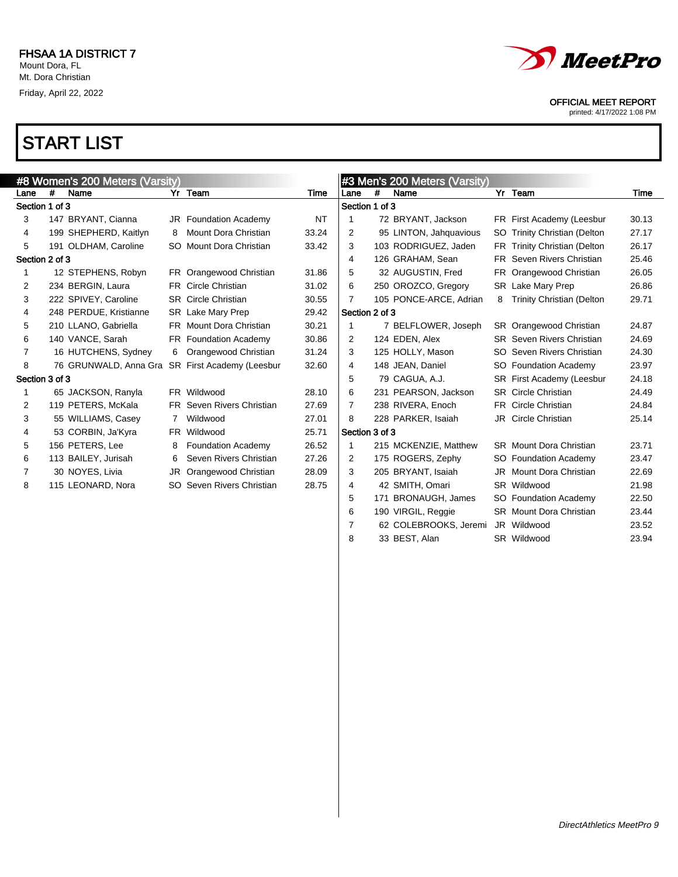

printed: 4/17/2022 1:08 PM

# START LIST

|                |   | #8 Women's 200 Meters (Varsity)                 |     |                                  |           |                |     | #3 Men's 200 Meters (Varsity) |   |                                  |       |
|----------------|---|-------------------------------------------------|-----|----------------------------------|-----------|----------------|-----|-------------------------------|---|----------------------------------|-------|
| Lane           | # | Name                                            |     | Yr Team                          | Time      | Lane           | #   | Name                          |   | Yr Team                          | Time  |
| Section 1 of 3 |   |                                                 |     |                                  |           | Section 1 of 3 |     |                               |   |                                  |       |
| 3              |   | 147 BRYANT, Cianna                              |     | <b>JR</b> Foundation Academy     | <b>NT</b> |                |     | 72 BRYANT, Jackson            |   | FR First Academy (Leesbur        | 30.13 |
| 4              |   | 199 SHEPHERD, Kaitlyn                           | 8   | Mount Dora Christian             | 33.24     | 2              |     | 95 LINTON, Jahquavious        |   | SO Trinity Christian (Delton     | 27.17 |
| 5              |   | 191 OLDHAM, Caroline                            |     | SO Mount Dora Christian          | 33.42     | 3              |     | 103 RODRIGUEZ, Jaden          |   | FR Trinity Christian (Delton     | 26.17 |
| Section 2 of 3 |   |                                                 |     |                                  |           | 4              |     | 126 GRAHAM, Sean              |   | FR Seven Rivers Christian        | 25.46 |
|                |   | 12 STEPHENS, Robyn                              |     | FR Orangewood Christian          | 31.86     | 5              |     | 32 AUGUSTIN, Fred             |   | FR Orangewood Christian          | 26.05 |
| 2              |   | 234 BERGIN, Laura                               |     | <b>FR</b> Circle Christian       | 31.02     | 6              |     | 250 OROZCO, Gregory           |   | SR Lake Mary Prep                | 26.86 |
| 3              |   | 222 SPIVEY, Caroline                            |     | <b>SR</b> Circle Christian       | 30.55     | 7              |     | 105 PONCE-ARCE, Adrian        | 8 | <b>Trinity Christian (Delton</b> | 29.71 |
| 4              |   | 248 PERDUE, Kristianne                          |     | SR Lake Mary Prep                | 29.42     | Section 2 of 3 |     |                               |   |                                  |       |
| 5              |   | 210 LLANO, Gabriella                            |     | FR Mount Dora Christian          | 30.21     | 1              |     | 7 BELFLOWER, Joseph           |   | SR Orangewood Christian          | 24.87 |
| 6              |   | 140 VANCE, Sarah                                |     | FR Foundation Academy            | 30.86     | 2              |     | 124 EDEN, Alex                |   | <b>SR</b> Seven Rivers Christian | 24.69 |
| 7              |   | 16 HUTCHENS, Sydney                             | 6   | Orangewood Christian             | 31.24     | 3              |     | 125 HOLLY, Mason              |   | SO Seven Rivers Christian        | 24.30 |
| 8              |   | 76 GRUNWALD, Anna Gra SR First Academy (Leesbur |     |                                  | 32.60     | 4              |     | 148 JEAN, Daniel              |   | SO Foundation Academy            | 23.97 |
| Section 3 of 3 |   |                                                 |     |                                  |           | 5              |     | 79 CAGUA, A.J.                |   | SR First Academy (Leesbur        | 24.18 |
|                |   | 65 JACKSON, Ranyla                              |     | FR Wildwood                      | 28.10     | 6              |     | 231 PEARSON, Jackson          |   | <b>SR</b> Circle Christian       | 24.49 |
| 2              |   | 119 PETERS, McKala                              |     | <b>FR</b> Seven Rivers Christian | 27.69     | 7              |     | 238 RIVERA, Enoch             |   | FR Circle Christian              | 24.84 |
| 3              |   | 55 WILLIAMS, Casey                              | 7   | Wildwood                         | 27.01     | 8              |     | 228 PARKER, Isaiah            |   | JR Circle Christian              | 25.14 |
| 4              |   | 53 CORBIN, Ja'Kyra                              |     | FR Wildwood                      | 25.71     | Section 3 of 3 |     |                               |   |                                  |       |
| 5              |   | 156 PETERS, Lee                                 | 8   | Foundation Academy               | 26.52     | 1              |     | 215 MCKENZIE, Matthew         |   | <b>SR</b> Mount Dora Christian   | 23.71 |
| 6              |   | 113 BAILEY, Jurisah                             | 6   | Seven Rivers Christian           | 27.26     | 2              |     | 175 ROGERS, Zephy             |   | SO Foundation Academy            | 23.47 |
| 7              |   | 30 NOYES, Livia                                 | JR  | Orangewood Christian             | 28.09     | 3              |     | 205 BRYANT, Isaiah            |   | JR Mount Dora Christian          | 22.69 |
| 8              |   | 115 LEONARD, Nora                               | SO. | Seven Rivers Christian           | 28.75     | 4              |     | 42 SMITH, Omari               |   | SR Wildwood                      | 21.98 |
|                |   |                                                 |     |                                  |           | 5              | 171 | <b>BRONAUGH, James</b>        |   | SO Foundation Academy            | 22.50 |
|                |   |                                                 |     |                                  |           | 6              |     | 190 VIRGIL, Reggie            |   | <b>SR</b> Mount Dora Christian   | 23.44 |
|                |   |                                                 |     |                                  |           | 7              |     | 62 COLEBROOKS, Jeremi         |   | JR Wildwood                      | 23.52 |

8 33 BEST, Alan SR Wildwood 23.94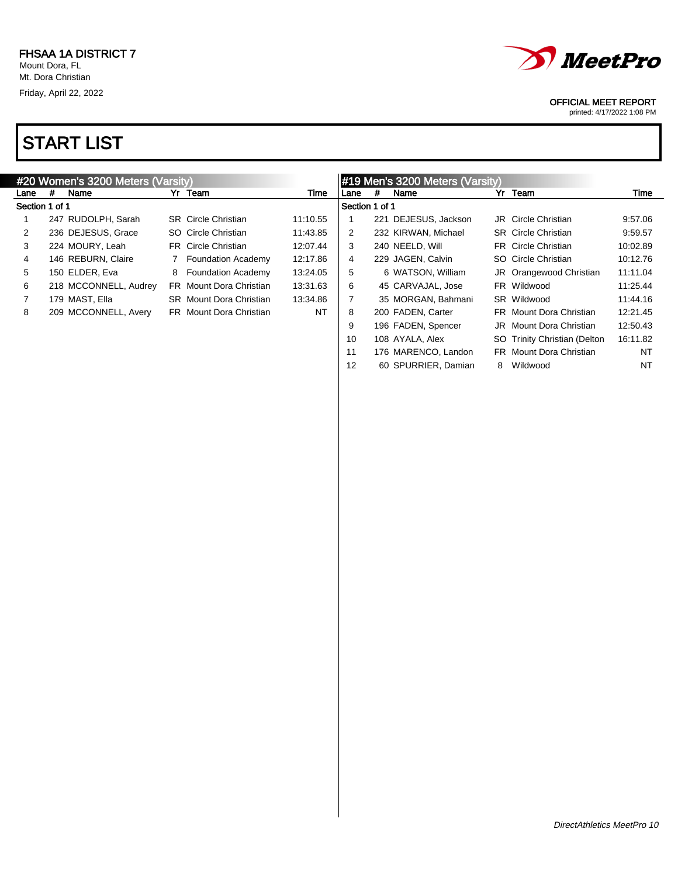

printed: 4/17/2022 1:08 PM

|                |   | #20 Women's 3200 Meters (Varsity) |   |                                |          |                |     | #19 Men's 3200 Meters (Varsity) |   |                                |          |
|----------------|---|-----------------------------------|---|--------------------------------|----------|----------------|-----|---------------------------------|---|--------------------------------|----------|
| Lane           | # | Name                              |   | Yr Team                        | Time     | Lane           | #   | Name                            |   | Yr Team                        | Time     |
| Section 1 of 1 |   |                                   |   |                                |          | Section 1 of 1 |     |                                 |   |                                |          |
|                |   | 247 RUDOLPH, Sarah                |   | <b>SR</b> Circle Christian     | 11:10.55 |                | 221 | DEJESUS, Jackson                |   | <b>JR</b> Circle Christian     | 9:57.06  |
| 2              |   | 236 DEJESUS, Grace                |   | SO Circle Christian            | 11:43.85 | 2              |     | 232 KIRWAN, Michael             |   | <b>SR</b> Circle Christian     | 9:59.57  |
| 3              |   | 224 MOURY, Leah                   |   | FR Circle Christian            | 12:07.44 | 3              |     | 240 NEELD, Will                 |   | <b>FR</b> Circle Christian     | 10:02.89 |
| 4              |   | 146 REBURN, Claire                |   | <b>Foundation Academy</b>      | 12:17.86 | $\overline{4}$ |     | 229 JAGEN, Calvin               |   | SO Circle Christian            | 10:12.76 |
| 5              |   | 150 ELDER, Eva                    | 8 | <b>Foundation Academy</b>      | 13:24.05 | 5              |     | 6 WATSON, William               |   | JR Orangewood Christian        | 11:11.04 |
| 6              |   | 218 MCCONNELL, Audrey             |   | <b>FR</b> Mount Dora Christian | 13:31.63 | 6              |     | 45 CARVAJAL, Jose               |   | FR Wildwood                    | 11:25.44 |
|                |   | 179 MAST, Ella                    |   | <b>SR</b> Mount Dora Christian | 13:34.86 | 7              |     | 35 MORGAN, Bahmani              |   | SR Wildwood                    | 11:44.16 |
| 8              |   | 209 MCCONNELL, Avery              |   | FR Mount Dora Christian        | NT       | 8              |     | 200 FADEN, Carter               |   | <b>FR</b> Mount Dora Christian | 12:21.45 |
|                |   |                                   |   |                                |          | 9              |     | 196 FADEN, Spencer              |   | <b>JR</b> Mount Dora Christian | 12:50.43 |
|                |   |                                   |   |                                |          | 10             |     | 108 AYALA, Alex                 |   | SO Trinity Christian (Delton   | 16:11.82 |
|                |   |                                   |   |                                |          | 11             |     | 176 MARENCO, Landon             |   | <b>FR</b> Mount Dora Christian | NT       |
|                |   |                                   |   |                                |          | 12             |     | 60 SPURRIER, Damian             | 8 | Wildwood                       | NT       |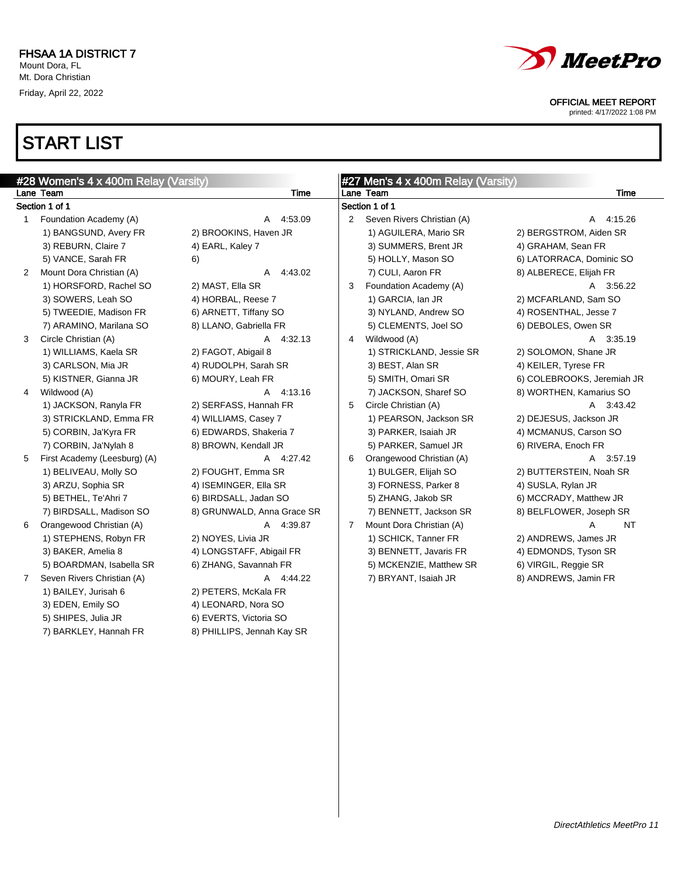

printed: 4/17/2022 1:08 PM

 $\overline{\phantom{0}}$ 

|   | #28 Women's 4 x 400m Relay (Varsity) |                            |   | #27 Men's 4 x 400m Relay (Varsity) |                            |
|---|--------------------------------------|----------------------------|---|------------------------------------|----------------------------|
|   | Lane Team                            | Time                       |   | Lane Team                          | Time                       |
|   | Section 1 of 1                       |                            |   | Section 1 of 1                     |                            |
| 1 | Foundation Academy (A)               | 4:53.09<br>A               | 2 | Seven Rivers Christian (A)         | A 4:15.26                  |
|   | 1) BANGSUND, Avery FR                | 2) BROOKINS, Haven JR      |   | 1) AGUILERA, Mario SR              | 2) BERGSTROM, Aiden SR     |
|   | 3) REBURN, Claire 7                  | 4) EARL, Kaley 7           |   | 3) SUMMERS, Brent JR               | 4) GRAHAM, Sean FR         |
|   | 5) VANCE, Sarah FR                   | 6)                         |   | 5) HOLLY, Mason SO                 | 6) LATORRACA, Dominic SO   |
| 2 | Mount Dora Christian (A)             | 4:43.02<br>A               |   | 7) CULI, Aaron FR                  | 8) ALBERECE, Elijah FR     |
|   | 1) HORSFORD, Rachel SO               | 2) MAST, Ella SR           | 3 | Foundation Academy (A)             | A 3:56.22                  |
|   | 3) SOWERS, Leah SO                   | 4) HORBAL, Reese 7         |   | 1) GARCIA, Ian JR                  | 2) MCFARLAND, Sam SO       |
|   | 5) TWEEDIE, Madison FR               | 6) ARNETT, Tiffany SO      |   | 3) NYLAND, Andrew SO               | 4) ROSENTHAL, Jesse 7      |
|   | 7) ARAMINO, Marilana SO              | 8) LLANO, Gabriella FR     |   | 5) CLEMENTS, Joel SO               | 6) DEBOLES, Owen SR        |
| 3 | Circle Christian (A)                 | 4:32.13<br>A               | 4 | Wildwood (A)                       | A 3:35.19                  |
|   | 1) WILLIAMS, Kaela SR                | 2) FAGOT, Abigail 8        |   | 1) STRICKLAND, Jessie SR           | 2) SOLOMON, Shane JR       |
|   | 3) CARLSON, Mia JR                   | 4) RUDOLPH, Sarah SR       |   | 3) BEST, Alan SR                   | 4) KEILER, Tyrese FR       |
|   | 5) KISTNER, Gianna JR                | 6) MOURY, Leah FR          |   | 5) SMITH, Omari SR                 | 6) COLEBROOKS, Jeremiah JR |
| 4 | Wildwood (A)                         | 4:13.16<br>$\mathsf{A}$    |   | 7) JACKSON, Sharef SO              | 8) WORTHEN, Kamarius SO    |
|   | 1) JACKSON, Ranyla FR                | 2) SERFASS, Hannah FR      | 5 | Circle Christian (A)               | A 3:43.42                  |
|   | 3) STRICKLAND, Emma FR               | 4) WILLIAMS, Casey 7       |   | 1) PEARSON, Jackson SR             | 2) DEJESUS, Jackson JR     |
|   | 5) CORBIN, Ja'Kyra FR                | 6) EDWARDS, Shakeria 7     |   | 3) PARKER, Isaiah JR               | 4) MCMANUS, Carson SO      |
|   | 7) CORBIN, Ja'Nylah 8                | 8) BROWN, Kendall JR       |   | 5) PARKER, Samuel JR               | 6) RIVERA, Enoch FR        |
| 5 | First Academy (Leesburg) (A)         | A 4:27.42                  | 6 | Orangewood Christian (A)           | A 3:57.19                  |
|   | 1) BELIVEAU, Molly SO                | 2) FOUGHT, Emma SR         |   | 1) BULGER, Elijah SO               | 2) BUTTERSTEIN, Noah SR    |
|   | 3) ARZU, Sophia SR                   | 4) ISEMINGER, Ella SR      |   | 3) FORNESS, Parker 8               | 4) SUSLA, Rylan JR         |
|   | 5) BETHEL, Te'Ahri 7                 | 6) BIRDSALL, Jadan SO      |   | 5) ZHANG, Jakob SR                 | 6) MCCRADY, Matthew JR     |
|   | 7) BIRDSALL, Madison SO              | 8) GRUNWALD, Anna Grace SR |   | 7) BENNETT, Jackson SR             | 8) BELFLOWER, Joseph SR    |
| 6 | Orangewood Christian (A)             | A 4:39.87                  | 7 | Mount Dora Christian (A)           | <b>NT</b><br>А             |
|   | 1) STEPHENS, Robyn FR                | 2) NOYES, Livia JR         |   | 1) SCHICK, Tanner FR               | 2) ANDREWS, James JR       |
|   | 3) BAKER, Amelia 8                   | 4) LONGSTAFF, Abigail FR   |   | 3) BENNETT, Javaris FR             | 4) EDMONDS, Tyson SR       |
|   | 5) BOARDMAN, Isabella SR             | 6) ZHANG, Savannah FR      |   | 5) MCKENZIE, Matthew SR            | 6) VIRGIL, Reggie SR       |
| 7 | Seven Rivers Christian (A)           | A 4:44.22                  |   | 7) BRYANT, Isaiah JR               | 8) ANDREWS, Jamin FR       |
|   | 1) BAILEY, Jurisah 6                 | 2) PETERS, McKala FR       |   |                                    |                            |
|   | 3) EDEN, Emily SO                    | 4) LEONARD, Nora SO        |   |                                    |                            |
|   | 5) SHIPES, Julia JR                  | 6) EVERTS, Victoria SO     |   |                                    |                            |
|   | 7) BARKLEY, Hannah FR                | 8) PHILLIPS, Jennah Kay SR |   |                                    |                            |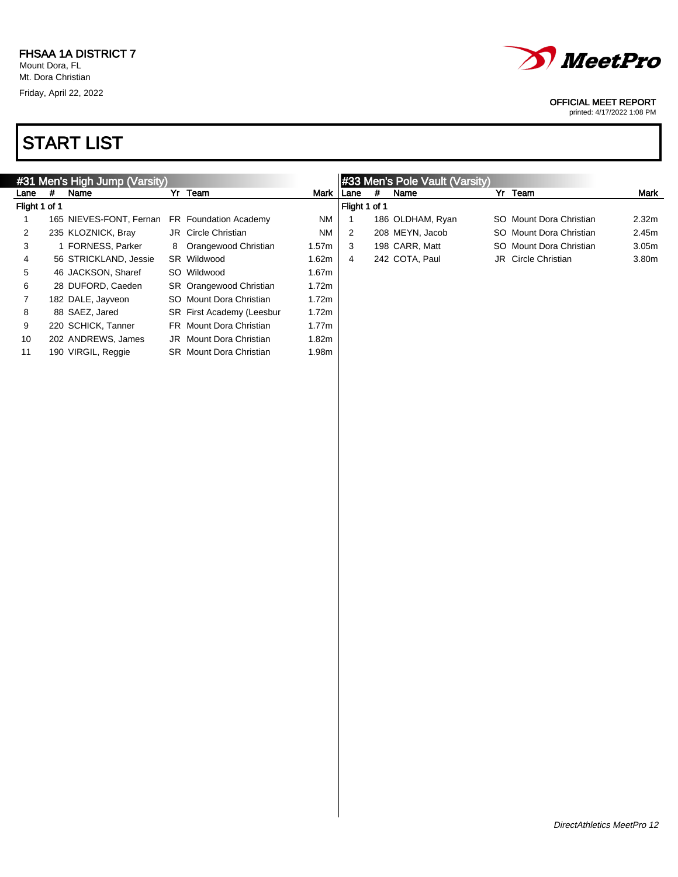

printed: 4/17/2022 1:08 PM

|               |   | #31 Men's High Jump (Varsity) |  | #33 Men's Pole Vault (Varsity) |             |               |   |                  |  |                            |                   |
|---------------|---|-------------------------------|--|--------------------------------|-------------|---------------|---|------------------|--|----------------------------|-------------------|
| Lane          | # | Name                          |  | Yr Team                        | Mark I Lane |               | # | Name             |  | Yr Team                    | Mark              |
| Flight 1 of 1 |   |                               |  |                                |             | Flight 1 of 1 |   |                  |  |                            |                   |
|               |   | 165 NIEVES-FONT, Fernan       |  | FR Foundation Academy          | <b>NM</b>   |               |   | 186 OLDHAM, Ryan |  | SO Mount Dora Christian    | 2.32 <sub>m</sub> |
| 2             |   | 235 KLOZNICK, Bray            |  | <b>JR</b> Circle Christian     | <b>NM</b>   | 2             |   | 208 MEYN, Jacob  |  | SO Mount Dora Christian    | 2.45m             |
| 3             |   | 1 FORNESS, Parker             |  | 8 Orangewood Christian         | 1.57m       | 3             |   | 198 CARR, Matt   |  | SO Mount Dora Christian    | 3.05 <sub>m</sub> |
| 4             |   | 56 STRICKLAND, Jessie         |  | SR Wildwood                    | 1.62m       | 4             |   | 242 COTA, Paul   |  | <b>JR</b> Circle Christian | 3.80m             |
| 5             |   | 46 JACKSON, Sharef            |  | SO Wildwood                    | 1.67m       |               |   |                  |  |                            |                   |
| 6             |   | 28 DUFORD, Caeden             |  | SR Orangewood Christian        | 1.72m       |               |   |                  |  |                            |                   |
|               |   | 182 DALE, Jayveon             |  | SO Mount Dora Christian        | 1.72m       |               |   |                  |  |                            |                   |
| 8             |   | 88 SAEZ, Jared                |  | SR First Academy (Leesbur      | 1.72m       |               |   |                  |  |                            |                   |
| 9             |   | 220 SCHICK, Tanner            |  | <b>FR</b> Mount Dora Christian | 1.77m       |               |   |                  |  |                            |                   |
| 10            |   | 202 ANDREWS, James            |  | JR Mount Dora Christian        | 1.82m       |               |   |                  |  |                            |                   |
| 11            |   | 190 VIRGIL, Reggie            |  | <b>SR</b> Mount Dora Christian | 1.98m       |               |   |                  |  |                            |                   |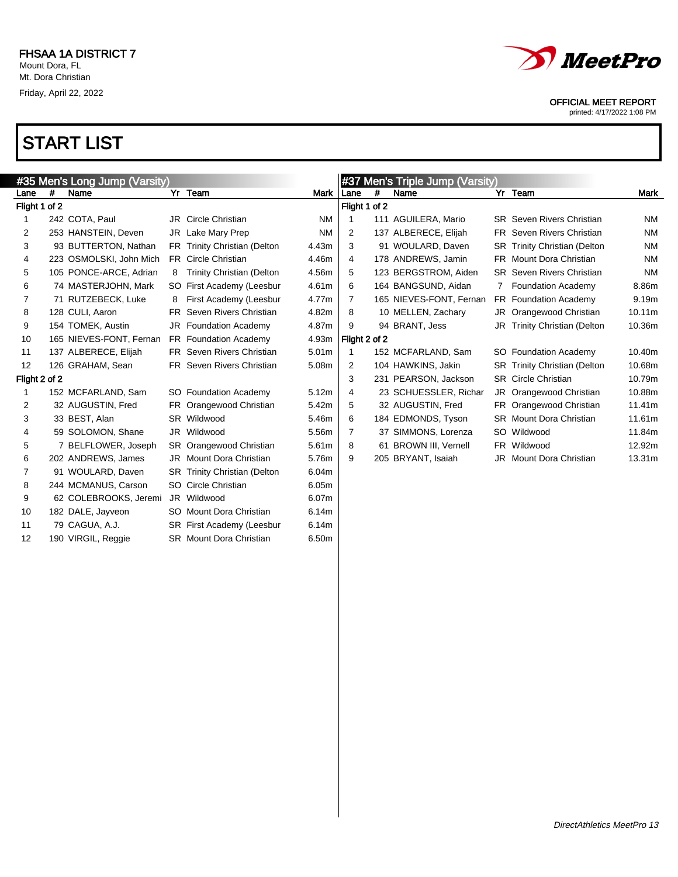

printed: 4/17/2022 1:08 PM

| #35 Men's Long Jump (Varsity) |   |                         |   |                                  |           |               |   | #37 Men's Triple Jump (Varsity) |   |                                     |           |
|-------------------------------|---|-------------------------|---|----------------------------------|-----------|---------------|---|---------------------------------|---|-------------------------------------|-----------|
| Lane                          | # | Name                    |   | Yr Team                          | Mark      | Lane          | # | Name                            |   | Yr Team                             | Mark      |
| Flight 1 of 2                 |   |                         |   |                                  |           | Flight 1 of 2 |   |                                 |   |                                     |           |
| 1                             |   | 242 COTA, Paul          |   | <b>JR</b> Circle Christian       | <b>NM</b> |               |   | 111 AGUILERA, Mario             |   | <b>SR</b> Seven Rivers Christian    | <b>NM</b> |
| 2                             |   | 253 HANSTEIN, Deven     |   | JR Lake Mary Prep                | <b>NM</b> | 2             |   | 137 ALBERECE, Elijah            |   | FR Seven Rivers Christian           | <b>NM</b> |
| 3                             |   | 93 BUTTERTON, Nathan    |   | FR Trinity Christian (Delton     | 4.43m     | 3             |   | 91 WOULARD, Daven               |   | <b>SR</b> Trinity Christian (Delton | <b>NM</b> |
| 4                             |   | 223 OSMOLSKI, John Mich |   | FR Circle Christian              | 4.46m     | 4             |   | 178 ANDREWS, Jamin              |   | FR Mount Dora Christian             | <b>NM</b> |
| 5                             |   | 105 PONCE-ARCE, Adrian  | 8 | <b>Trinity Christian (Delton</b> | 4.56m     | 5             |   | 123 BERGSTROM, Aiden            |   | <b>SR</b> Seven Rivers Christian    | <b>NM</b> |
| 6                             |   | 74 MASTERJOHN, Mark     |   | SO First Academy (Leesbur        | 4.61m     | 6             |   | 164 BANGSUND, Aidan             | 7 | <b>Foundation Academy</b>           | 8.86m     |
| 7                             |   | 71 RUTZEBECK, Luke      | 8 | First Academy (Leesbur           | 4.77m     | 7             |   | 165 NIEVES-FONT, Fernan         |   | FR Foundation Academy               | 9.19m     |
| 8                             |   | 128 CULI, Aaron         |   | FR Seven Rivers Christian        | 4.82m     | 8             |   | 10 MELLEN, Zachary              |   | JR Orangewood Christian             | 10.11m    |
| 9                             |   | 154 TOMEK, Austin       |   | JR Foundation Academy            | 4.87m     | 9             |   | 94 BRANT, Jess                  |   | JR Trinity Christian (Delton        | 10.36m    |
| 10                            |   | 165 NIEVES-FONT, Fernan |   | FR Foundation Academy            | 4.93m     | Flight 2 of 2 |   |                                 |   |                                     |           |
| 11                            |   | 137 ALBERECE, Elijah    |   | FR Seven Rivers Christian        | 5.01m     |               |   | 152 MCFARLAND, Sam              |   | SO Foundation Academy               | 10.40m    |
| 12                            |   | 126 GRAHAM, Sean        |   | FR Seven Rivers Christian        | 5.08m     | 2             |   | 104 HAWKINS, Jakin              |   | <b>SR</b> Trinity Christian (Delton | 10.68m    |
| Flight 2 of 2                 |   |                         |   |                                  |           | 3             |   | 231 PEARSON, Jackson            |   | <b>SR</b> Circle Christian          | 10.79m    |
| 1                             |   | 152 MCFARLAND, Sam      |   | SO Foundation Academy            | 5.12m     | 4             |   | 23 SCHUESSLER, Richar           |   | JR Orangewood Christian             | 10.88m    |
| 2                             |   | 32 AUGUSTIN, Fred       |   | FR Orangewood Christian          | 5.42m     | 5             |   | 32 AUGUSTIN, Fred               |   | FR Orangewood Christian             | 11.41m    |
| 3                             |   | 33 BEST, Alan           |   | SR Wildwood                      | 5.46m     | 6             |   | 184 EDMONDS, Tyson              |   | <b>SR</b> Mount Dora Christian      | 11.61m    |
| 4                             |   | 59 SOLOMON, Shane       |   | JR Wildwood                      | 5.56m     | 7             |   | 37 SIMMONS, Lorenza             |   | SO Wildwood                         | 11.84m    |
| 5                             |   | 7 BELFLOWER, Joseph     |   | SR Orangewood Christian          | 5.61m     | 8             |   | 61 BROWN III, Vernell           |   | FR Wildwood                         | 12.92m    |
| 6                             |   | 202 ANDREWS, James      |   | JR Mount Dora Christian          | 5.76m     | 9             |   | 205 BRYANT, Isaiah              |   | <b>JR</b> Mount Dora Christian      | 13.31m    |
| 7                             |   | 91 WOULARD, Daven       |   | SR Trinity Christian (Delton     | 6.04m     |               |   |                                 |   |                                     |           |
| 8                             |   | 244 MCMANUS, Carson     |   | SO Circle Christian              | 6.05m     |               |   |                                 |   |                                     |           |
| 9                             |   | 62 COLEBROOKS, Jeremi   |   | JR Wildwood                      | 6.07m     |               |   |                                 |   |                                     |           |
| 10                            |   | 182 DALE, Jayveon       |   | SO Mount Dora Christian          | 6.14m     |               |   |                                 |   |                                     |           |
| 11                            |   | 79 CAGUA, A.J.          |   | SR First Academy (Leesbur        | 6.14m     |               |   |                                 |   |                                     |           |
| 12                            |   | 190 VIRGIL, Reggie      |   | <b>SR</b> Mount Dora Christian   | 6.50m     |               |   |                                 |   |                                     |           |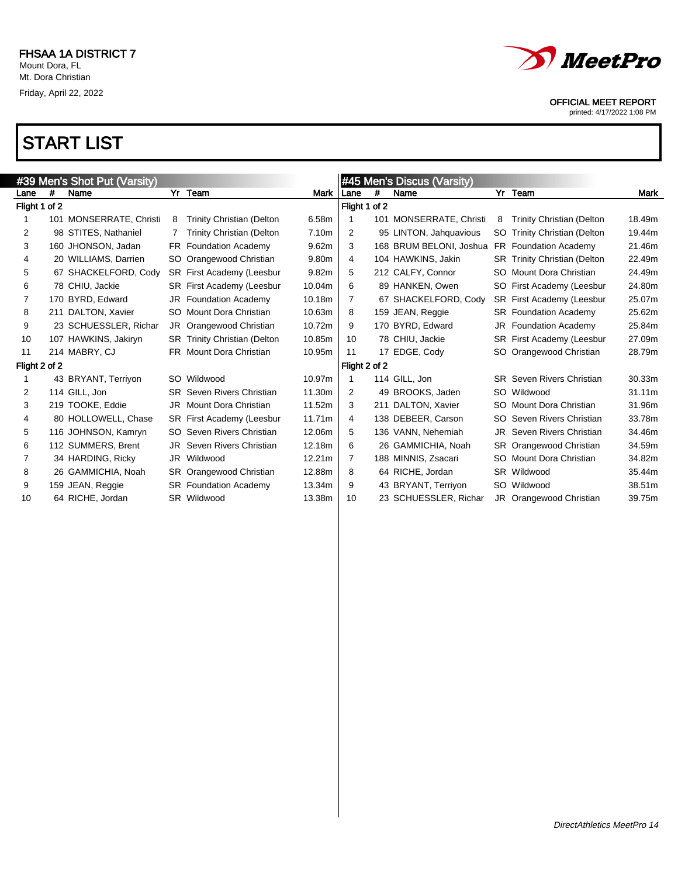

printed: 4/17/2022 1:08 PM

| #39 Men's Shot Put (Varsity) |   |                         |     |                                     |                   | #45 Men's Discus (Varsity) |     |                         |     |                                  |        |
|------------------------------|---|-------------------------|-----|-------------------------------------|-------------------|----------------------------|-----|-------------------------|-----|----------------------------------|--------|
| Lane                         | # | Name                    |     | Yr Team                             | <b>Mark</b>       | Lane                       | #   | Name                    |     | Yr Team                          | Mark   |
| Flight 1 of 2                |   |                         |     |                                     |                   | Flight 1 of 2              |     |                         |     |                                  |        |
|                              |   | 101 MONSERRATE, Christi | 8   | <b>Trinity Christian (Delton</b>    | 6.58m             |                            |     | 101 MONSERRATE, Christi | 8   | <b>Trinity Christian (Delton</b> | 18.49m |
| 2                            |   | 98 STITES, Nathaniel    |     | <b>Trinity Christian (Delton</b>    | 7.10 <sub>m</sub> | 2                          |     | 95 LINTON, Jahquavious  |     | SO Trinity Christian (Delton     | 19.44m |
| 3                            |   | 160 JHONSON, Jadan      |     | FR Foundation Academy               | 9.62m             | 3                          |     | 168 BRUM BELONI, Joshua |     | FR Foundation Academy            | 21.46m |
| 4                            |   | 20 WILLIAMS, Darrien    | SO. | Orangewood Christian                | 9.80m             | 4                          |     | 104 HAWKINS, Jakin      |     | SR Trinity Christian (Delton     | 22.49m |
| 5                            |   | 67 SHACKELFORD, Cody    |     | <b>SR</b> First Academy (Leesbur    | 9.82m             | 5                          |     | 212 CALFY, Connor       | SO. | Mount Dora Christian             | 24.49m |
| 6                            |   | 78 CHIU, Jackie         |     | SR First Academy (Leesbur           | 10.04m            | 6                          |     | 89 HANKEN, Owen         | SO  | First Academy (Leesbur           | 24.80m |
| 7                            |   | 170 BYRD, Edward        |     | <b>JR</b> Foundation Academy        | 10.18m            | 7                          |     | 67 SHACKELFORD, Cody    |     | <b>SR</b> First Academy (Leesbur | 25.07m |
| 8                            |   | 211 DALTON, Xavier      | SO. | Mount Dora Christian                | 10.63m            | 8                          |     | 159 JEAN, Reggie        |     | <b>SR</b> Foundation Academy     | 25.62m |
| 9                            |   | 23 SCHUESSLER, Richar   |     | JR Orangewood Christian             | 10.72m            | 9                          |     | 170 BYRD, Edward        | JR  | <b>Foundation Academy</b>        | 25.84m |
| 10                           |   | 107 HAWKINS, Jakiryn    |     | <b>SR</b> Trinity Christian (Delton | 10.85m            | 10                         |     | 78 CHIU, Jackie         |     | SR First Academy (Leesbur        | 27.09m |
| 11                           |   | 214 MABRY, CJ           |     | FR Mount Dora Christian             | 10.95m            | 11                         |     | 17 EDGE, Cody           | SO. | Orangewood Christian             | 28.79m |
| Flight 2 of 2                |   |                         |     |                                     |                   | Flight 2 of 2              |     |                         |     |                                  |        |
|                              |   | 43 BRYANT, Terriyon     |     | SO Wildwood                         | 10.97m            |                            |     | 114 GILL, Jon           |     | <b>SR</b> Seven Rivers Christian | 30.33m |
| 2                            |   | 114 GILL, Jon           |     | <b>SR</b> Seven Rivers Christian    | 11.30m            | 2                          |     | 49 BROOKS, Jaden        |     | SO Wildwood                      | 31.11m |
| 3                            |   | 219 TOOKE, Eddie        |     | <b>JR</b> Mount Dora Christian      | 11.52m            | 3                          | 211 | DALTON, Xavier          | SO. | Mount Dora Christian             | 31.96m |
| 4                            |   | 80 HOLLOWELL, Chase     |     | SR First Academy (Leesbur           | 11.71m            | 4                          |     | 138 DEBEER, Carson      |     | SO Seven Rivers Christian        | 33.78m |
| 5                            |   | 116 JOHNSON, Kamryn     | SO. | Seven Rivers Christian              | 12.06m            | 5                          |     | 136 VANN, Nehemiah      | JR  | Seven Rivers Christian           | 34.46m |
| 6                            |   | 112 SUMMERS, Brent      |     | <b>JR</b> Seven Rivers Christian    | 12.18m            | 6                          |     | 26 GAMMICHIA, Noah      |     | SR Orangewood Christian          | 34.59m |
| 7                            |   | 34 HARDING, Ricky       | JR  | Wildwood                            | 12.21m            | 7                          |     | 188 MINNIS, Zsacari     | SO. | Mount Dora Christian             | 34.82m |
| 8                            |   | 26 GAMMICHIA, Noah      |     | SR Orangewood Christian             | 12.88m            | 8                          |     | 64 RICHE, Jordan        | SR. | Wildwood                         | 35.44m |
| 9                            |   | 159 JEAN, Reggie        |     | <b>SR</b> Foundation Academy        | 13.34m            | 9                          |     | 43 BRYANT, Terriyon     | SO. | Wildwood                         | 38.51m |
| 10                           |   | 64 RICHE, Jordan        |     | SR Wildwood                         | 13.38m            | 10                         |     | 23 SCHUESSLER, Richar   |     | JR Orangewood Christian          | 39.75m |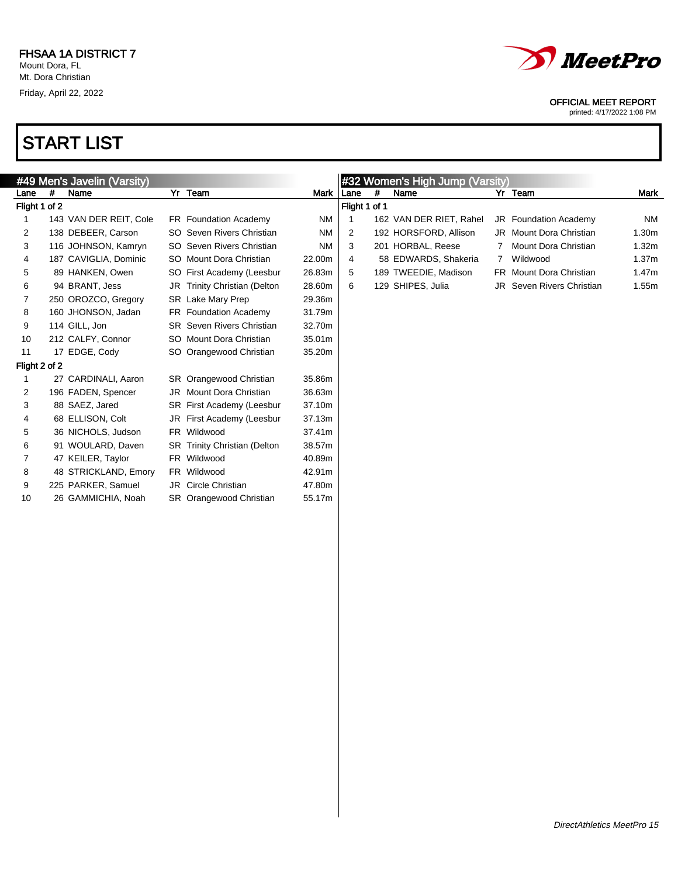

printed: 4/17/2022 1:08 PM

| #49 Men's Javelin (Varsity) |   |                        |                                     | #32 Women's High Jump (Varsity) |               |   |                         |   |                                  |                   |
|-----------------------------|---|------------------------|-------------------------------------|---------------------------------|---------------|---|-------------------------|---|----------------------------------|-------------------|
| Lane                        | # | Name                   | Yr Team                             | Mark                            | Lane          | # | Name                    |   | Yr Team                          | Mark              |
| Flight 1 of 2               |   |                        |                                     |                                 | Flight 1 of 1 |   |                         |   |                                  |                   |
| 1                           |   | 143 VAN DER REIT, Cole | FR Foundation Academy               | <b>NM</b>                       |               |   | 162 VAN DER RIET, Rahel |   | <b>JR</b> Foundation Academy     | <b>NM</b>         |
| 2                           |   | 138 DEBEER, Carson     | SO Seven Rivers Christian           | <b>NM</b>                       | 2             |   | 192 HORSFORD, Allison   |   | JR Mount Dora Christian          | 1.30 <sub>m</sub> |
| 3                           |   | 116 JOHNSON, Kamryn    | SO Seven Rivers Christian           | <b>NM</b>                       | 3             |   | 201 HORBAL, Reese       |   | Mount Dora Christian             | 1.32 <sub>m</sub> |
| 4                           |   | 187 CAVIGLIA, Dominic  | SO Mount Dora Christian             | 22.00m                          | 4             |   | 58 EDWARDS, Shakeria    | 7 | Wildwood                         | 1.37 <sub>m</sub> |
| 5                           |   | 89 HANKEN, Owen        | SO First Academy (Leesbur           | 26.83m                          | 5             |   | 189 TWEEDIE, Madison    |   | FR Mount Dora Christian          | 1.47m             |
| 6                           |   | 94 BRANT, Jess         | JR Trinity Christian (Delton        | 28.60m                          | 6             |   | 129 SHIPES, Julia       |   | <b>JR</b> Seven Rivers Christian | 1.55m             |
| 7                           |   | 250 OROZCO, Gregory    | SR Lake Mary Prep                   | 29.36m                          |               |   |                         |   |                                  |                   |
| 8                           |   | 160 JHONSON, Jadan     | FR Foundation Academy               | 31.79m                          |               |   |                         |   |                                  |                   |
| 9                           |   | 114 GILL, Jon          | <b>SR</b> Seven Rivers Christian    | 32.70m                          |               |   |                         |   |                                  |                   |
| 10                          |   | 212 CALFY, Connor      | SO Mount Dora Christian             | 35.01m                          |               |   |                         |   |                                  |                   |
| 11                          |   | 17 EDGE, Cody          | SO Orangewood Christian             | 35.20m                          |               |   |                         |   |                                  |                   |
| Flight 2 of 2               |   |                        |                                     |                                 |               |   |                         |   |                                  |                   |
| 1                           |   | 27 CARDINALI, Aaron    | SR Orangewood Christian             | 35.86m                          |               |   |                         |   |                                  |                   |
| 2                           |   | 196 FADEN, Spencer     | JR Mount Dora Christian             | 36.63m                          |               |   |                         |   |                                  |                   |
| 3                           |   | 88 SAEZ, Jared         | SR First Academy (Leesbur           | 37.10m                          |               |   |                         |   |                                  |                   |
| 4                           |   | 68 ELLISON, Colt       | JR First Academy (Leesbur           | 37.13m                          |               |   |                         |   |                                  |                   |
| 5                           |   | 36 NICHOLS, Judson     | FR Wildwood                         | 37.41m                          |               |   |                         |   |                                  |                   |
| 6                           |   | 91 WOULARD, Daven      | <b>SR</b> Trinity Christian (Delton | 38.57m                          |               |   |                         |   |                                  |                   |
| $\overline{7}$              |   | 47 KEILER, Taylor      | FR Wildwood                         | 40.89m                          |               |   |                         |   |                                  |                   |
| 8                           |   | 48 STRICKLAND, Emory   | FR Wildwood                         | 42.91m                          |               |   |                         |   |                                  |                   |
| 9                           |   | 225 PARKER, Samuel     | JR Circle Christian                 | 47.80m                          |               |   |                         |   |                                  |                   |
| 10                          |   | 26 GAMMICHIA, Noah     | SR Orangewood Christian             | 55.17m                          |               |   |                         |   |                                  |                   |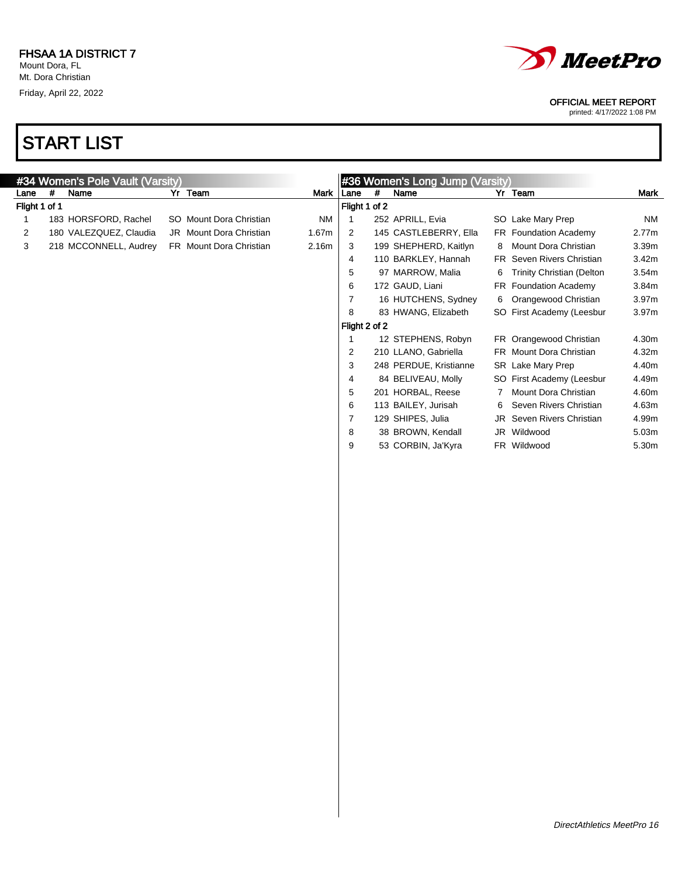

printed: 4/17/2022 1:08 PM

|               |   | #34 Women's Pole Vault (Varsity) |                         |           |                         |            | #36 Women's Long Jump (Varsity) |   |                                  |           |
|---------------|---|----------------------------------|-------------------------|-----------|-------------------------|------------|---------------------------------|---|----------------------------------|-----------|
| Lane          | # | Name                             | Yr Team                 |           | Mark   Lane             | $\pmb{\#}$ | Name                            |   | Yr Team                          | Mark      |
| Flight 1 of 1 |   |                                  |                         |           | Flight 1 of 2           |            |                                 |   |                                  |           |
| 1             |   | 183 HORSFORD, Rachel             | SO Mount Dora Christian | <b>NM</b> | $\mathbf{1}$            |            | 252 APRILL, Evia                |   | SO Lake Mary Prep                | <b>NM</b> |
| 2             |   | 180 VALEZQUEZ, Claudia           | JR Mount Dora Christian | 1.67m     | $\overline{c}$          |            | 145 CASTLEBERRY, Ella           |   | FR Foundation Academy            | 2.77m     |
| 3             |   | 218 MCCONNELL, Audrey            | FR Mount Dora Christian | 2.16m     | 3                       |            | 199 SHEPHERD, Kaitlyn           | 8 | Mount Dora Christian             | 3.39m     |
|               |   |                                  |                         |           | 4                       |            | 110 BARKLEY, Hannah             |   | FR Seven Rivers Christian        | 3.42m     |
|               |   |                                  |                         |           | 5                       |            | 97 MARROW, Malia                | 6 | <b>Trinity Christian (Delton</b> | 3.54m     |
|               |   |                                  |                         |           | 6                       |            | 172 GAUD, Liani                 |   | FR Foundation Academy            | 3.84m     |
|               |   |                                  |                         |           | $\boldsymbol{7}$        |            | 16 HUTCHENS, Sydney             | 6 | Orangewood Christian             | 3.97m     |
|               |   |                                  |                         |           |                         |            |                                 |   |                                  |           |
|               |   |                                  |                         |           | 8                       |            | 83 HWANG, Elizabeth             |   | SO First Academy (Leesbur        | 3.97m     |
|               |   |                                  |                         |           | Flight 2 of 2           |            |                                 |   |                                  |           |
|               |   |                                  |                         |           | $\mathbf{1}$            |            | 12 STEPHENS, Robyn              |   | FR Orangewood Christian          | 4.30m     |
|               |   |                                  |                         |           | $\overline{\mathbf{c}}$ |            | 210 LLANO, Gabriella            |   | FR Mount Dora Christian          | 4.32m     |
|               |   |                                  |                         |           | 3                       |            | 248 PERDUE, Kristianne          |   | SR Lake Mary Prep                | 4.40m     |
|               |   |                                  |                         |           | 4                       |            | 84 BELIVEAU, Molly              |   | SO First Academy (Leesbur        | 4.49m     |
|               |   |                                  |                         |           | 5                       |            | 201 HORBAL, Reese               | 7 | Mount Dora Christian             | 4.60m     |
|               |   |                                  |                         |           | 6                       |            | 113 BAILEY, Jurisah             | 6 | Seven Rivers Christian           | 4.63m     |
|               |   |                                  |                         |           | $\overline{7}$          |            | 129 SHIPES, Julia               |   | JR Seven Rivers Christian        | 4.99m     |
|               |   |                                  |                         |           | 8                       |            | 38 BROWN, Kendall               |   | JR Wildwood                      | 5.03m     |
|               |   |                                  |                         |           | 9                       |            | 53 CORBIN, Ja'Kyra              |   | FR Wildwood                      | 5.30m     |
|               |   |                                  |                         |           |                         |            |                                 |   |                                  |           |
|               |   |                                  |                         |           |                         |            |                                 |   |                                  |           |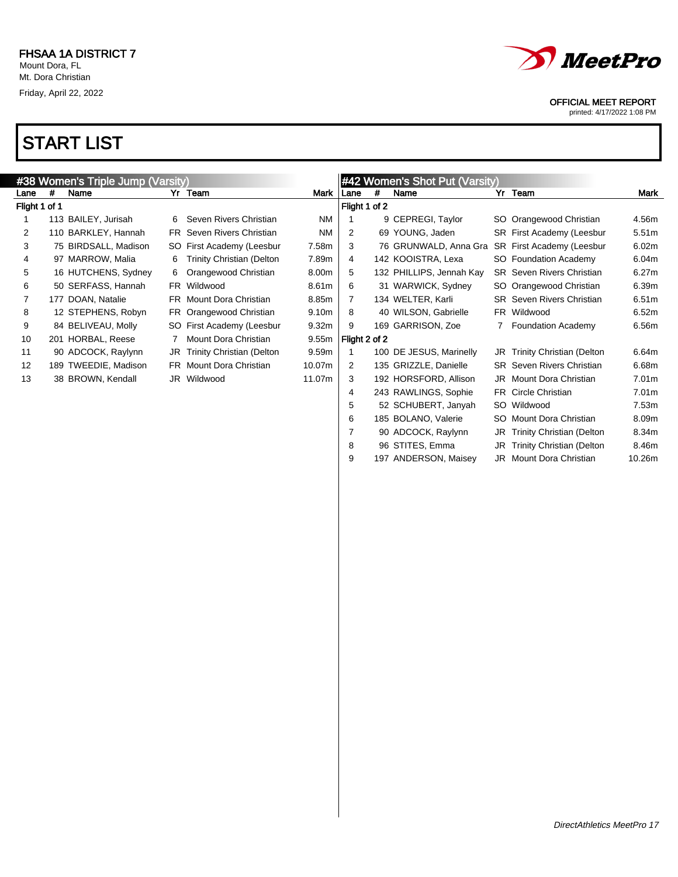

9 197 ANDERSON, Maisey JR Mount Dora Christian 10.26m

### OFFICIAL MEET REPORT

printed: 4/17/2022 1:08 PM

| #38 Women's Triple Jump (Varsity) |   |                      |   |                                  |                   |                |   | #42 Women's Shot Put (Varsity) |  |                                  |                   |
|-----------------------------------|---|----------------------|---|----------------------------------|-------------------|----------------|---|--------------------------------|--|----------------------------------|-------------------|
| Lane                              | # | Name                 |   | Yr Team                          | Mark              | Lane           | # | Name                           |  | Yr Team                          | Mark              |
| Flight 1 of 1                     |   |                      |   |                                  |                   | Flight 1 of 2  |   |                                |  |                                  |                   |
|                                   |   | 113 BAILEY, Jurisah  | 6 | Seven Rivers Christian           | <b>NM</b>         |                |   | 9 CEPREGI, Taylor              |  | SO Orangewood Christian          | 4.56m             |
| 2                                 |   | 110 BARKLEY, Hannah  |   | FR Seven Rivers Christian        | <b>NM</b>         | 2              |   | 69 YOUNG, Jaden                |  | SR First Academy (Leesbur        | 5.51 <sub>m</sub> |
| 3                                 |   | 75 BIRDSALL, Madison |   | SO First Academy (Leesbur        | 7.58m             | 3              |   | 76 GRUNWALD, Anna Gra          |  | SR First Academy (Leesbur        | 6.02m             |
| 4                                 |   | 97 MARROW, Malia     | 6 | <b>Trinity Christian (Delton</b> | 7.89m             | 4              |   | 142 KOOISTRA, Lexa             |  | SO Foundation Academy            | 6.04m             |
| 5                                 |   | 16 HUTCHENS, Sydney  | 6 | Orangewood Christian             | 8.00m             | 5              |   | 132 PHILLIPS, Jennah Kay       |  | <b>SR</b> Seven Rivers Christian | 6.27m             |
| 6                                 |   | 50 SERFASS, Hannah   |   | FR Wildwood                      | 8.61m             | 6              |   | 31 WARWICK, Sydney             |  | SO Orangewood Christian          | 6.39m             |
| 7                                 |   | 177 DOAN, Natalie    |   | FR Mount Dora Christian          | 8.85m             | 7              |   | 134 WELTER, Karli              |  | SR Seven Rivers Christian        | 6.51m             |
| 8                                 |   | 12 STEPHENS, Robyn   |   | FR Orangewood Christian          | 9.10m             | 8              |   | 40 WILSON, Gabrielle           |  | FR Wildwood                      | 6.52m             |
| 9                                 |   | 84 BELIVEAU, Molly   |   | SO First Academy (Leesbur        | 9.32 <sub>m</sub> | 9              |   | 169 GARRISON, Zoe              |  | 7 Foundation Academy             | 6.56m             |
| 10                                |   | 201 HORBAL, Reese    |   | Mount Dora Christian             | 9.55m             | Flight 2 of 2  |   |                                |  |                                  |                   |
| 11                                |   | 90 ADCOCK, Raylynn   |   | JR Trinity Christian (Delton     | 9.59m             |                |   | 100 DE JESUS, Marinelly        |  | JR Trinity Christian (Delton     | 6.64m             |
| $12 \overline{ }$                 |   | 189 TWEEDIE, Madison |   | <b>FR</b> Mount Dora Christian   | 10.07m            | 2              |   | 135 GRIZZLE, Danielle          |  | <b>SR</b> Seven Rivers Christian | 6.68m             |
| 13                                |   | 38 BROWN, Kendall    |   | JR Wildwood                      | 11.07m            | 3              |   | 192 HORSFORD, Allison          |  | JR Mount Dora Christian          | 7.01m             |
|                                   |   |                      |   |                                  |                   | 4              |   | 243 RAWLINGS, Sophie           |  | FR Circle Christian              | 7.01m             |
|                                   |   |                      |   |                                  |                   | 5              |   | 52 SCHUBERT, Janyah            |  | SO Wildwood                      | 7.53m             |
|                                   |   |                      |   |                                  |                   | 6              |   | 185 BOLANO, Valerie            |  | SO Mount Dora Christian          | 8.09m             |
|                                   |   |                      |   |                                  |                   | $\overline{7}$ |   | 90 ADCOCK, Raylynn             |  | JR Trinity Christian (Delton     | 8.34m             |
|                                   |   |                      |   |                                  |                   | 8              |   | 96 STITES, Emma                |  | JR Trinity Christian (Delton     | 8.46m             |